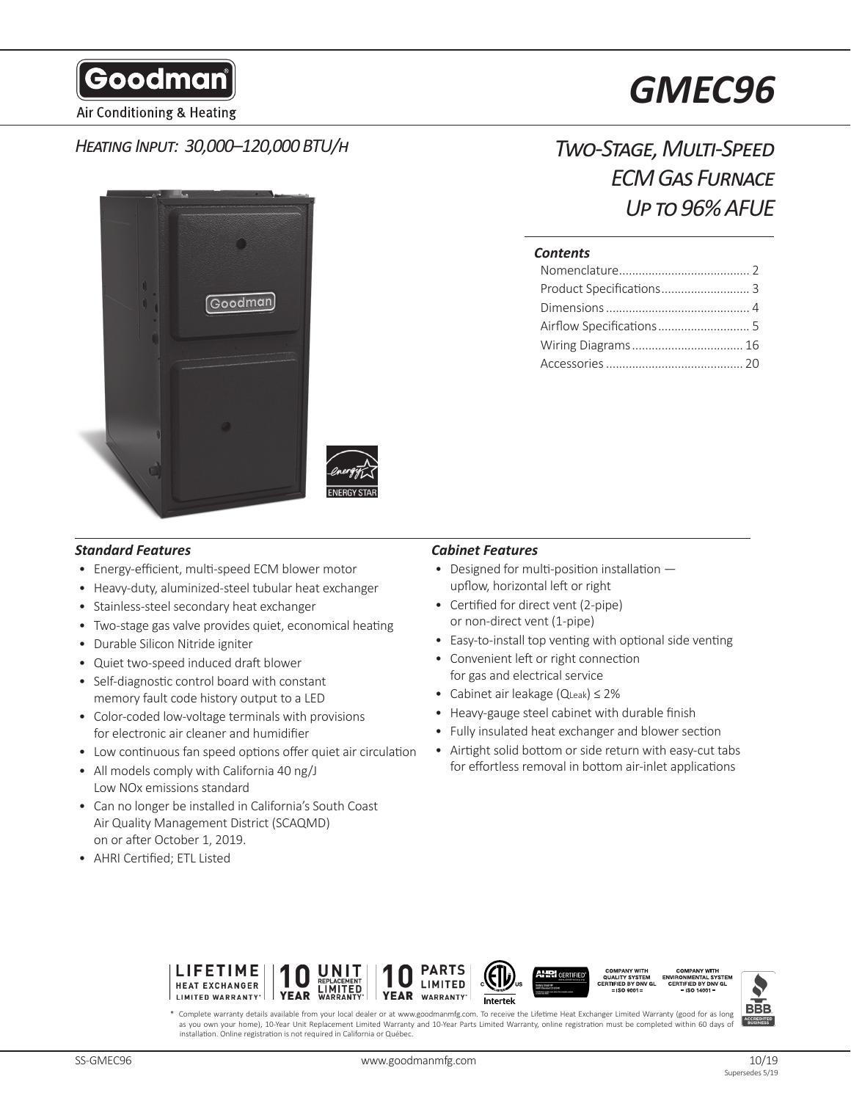Goodman

Air Conditioning & Heating

# *Heating Input: 30,000–120,000 BTU/h*



*Two-Stage, Multi-Speed ECM Gas Furnace Up to 96% AFUE*

# *Contents*

- Energy-efficient, multi-speed ECM blower motor
- Heavy-duty, aluminized-steel tubular heat exchanger
- Stainless-steel secondary heat exchanger
- Two-stage gas valve provides quiet, economical heating
- Durable Silicon Nitride igniter
- Quiet two-speed induced draft blower
- Self-diagnostic control board with constant memory fault code history output to a LED
- Color-coded low-voltage terminals with provisions for electronic air cleaner and humidifier
- Low continuous fan speed options offer quiet air circulation
- All models comply with California 40 ng/J Low NOx emissions standard
- Can no longer be installed in California's South Coast Air Quality Management District (SCAQMD) on or after October 1, 2019.
- AHRI Certified; ETL Listed

# *Standard Features Cabinet Features*

- Designed for multi-position installation upflow, horizontal left or right
- Certified for direct vent (2-pipe) or non-direct vent (1-pipe)
- Easy-to-install top venting with optional side venting
- Convenient left or right connection for gas and electrical service
- Cabinet air leakage (QLeak) ≤ 2%
- Heavy-gauge steel cabinet with durable finish
- Fully insulated heat exchanger and blower section
- Airtight solid bottom or side return with easy-cut tabs for effortless removal in bottom air-inlet applications





Complete warranty details available from your local dealer or at www.goodmanmfg.com. To receive the Lifetime Heat Exchanger Limited Warranty (good for as long as you own your home), 10-Year Unit Replacement Limited Warranty and 10-Year Parts Limited Warranty, online registration must be completed within 60 days of installation. Online registration is not required in California or Québec.

# *GMEC96*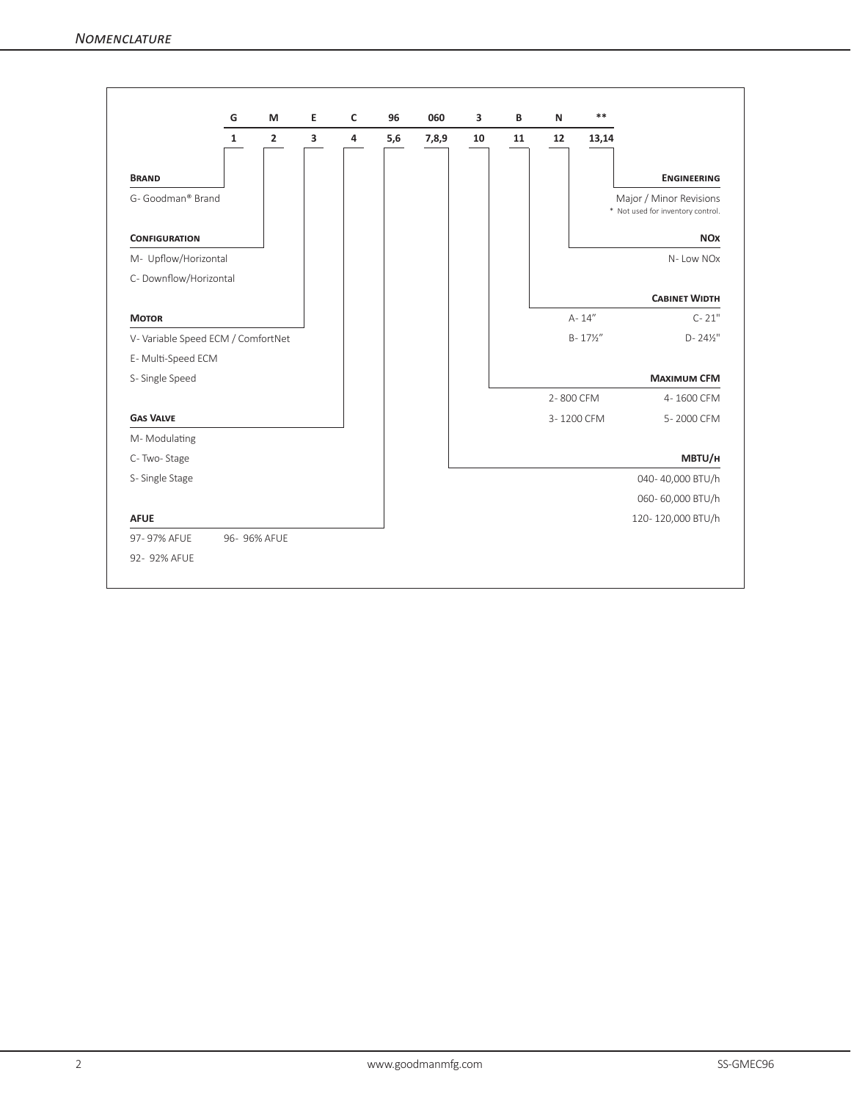|                                   | G            | M                       | Е | C              | 96  | 060   | 3  | B  | $\mathsf{N}$ | $***$               |                                                              |
|-----------------------------------|--------------|-------------------------|---|----------------|-----|-------|----|----|--------------|---------------------|--------------------------------------------------------------|
|                                   | $\mathbf{1}$ | $\overline{\mathbf{2}}$ | 3 | $\overline{4}$ | 5,6 | 7,8,9 | 10 | 11 | 12           | 13,14               |                                                              |
| <b>BRAND</b>                      |              |                         |   |                |     |       |    |    |              |                     | <b>ENGINEERING</b>                                           |
| G- Goodman® Brand                 |              |                         |   |                |     |       |    |    |              |                     | Major / Minor Revisions<br>* Not used for inventory control. |
| <b>CONFIGURATION</b>              |              |                         |   |                |     |       |    |    |              |                     | <b>NO<sub>x</sub></b>                                        |
| M- Upflow/Horizontal              |              |                         |   |                |     |       |    |    |              |                     | N-Low NOx                                                    |
| C- Downflow/Horizontal            |              |                         |   |                |     |       |    |    |              |                     |                                                              |
|                                   |              |                         |   |                |     |       |    |    |              |                     | <b>CABINET WIDTH</b>                                         |
| <b>MOTOR</b>                      |              |                         |   |                |     |       |    |    |              | A-14"               | $C - 21"$                                                    |
| V-Variable Speed ECM / ComfortNet |              |                         |   |                |     |       |    |    |              | $B - 17\frac{1}{2}$ | $D - 24\frac{1}{2}$ "                                        |
| E-Multi-Speed ECM                 |              |                         |   |                |     |       |    |    |              |                     |                                                              |
| S-Single Speed                    |              |                         |   |                |     |       |    |    |              |                     | <b>MAXIMUM CFM</b>                                           |
|                                   |              |                         |   |                |     |       |    |    | 2-800 CFM    |                     | 4-1600 CFM                                                   |
| <b>GAS VALVE</b>                  |              |                         |   |                |     |       |    |    |              | 3-1200 CFM          | 5-2000 CFM                                                   |
| M-Modulating                      |              |                         |   |                |     |       |    |    |              |                     |                                                              |
| C-Two-Stage                       |              |                         |   |                |     |       |    |    |              |                     | MBTU/H                                                       |
| S-Single Stage                    |              |                         |   |                |     |       |    |    |              |                     | 040-40,000 BTU/h                                             |
|                                   |              |                         |   |                |     |       |    |    |              |                     | 060-60,000 BTU/h                                             |
| <b>AFUE</b>                       |              |                         |   |                |     |       |    |    |              |                     | 120-120,000 BTU/h                                            |
| 97-97% AFUE                       |              | 96- 96% AFUE            |   |                |     |       |    |    |              |                     |                                                              |
| 92- 92% AFUE                      |              |                         |   |                |     |       |    |    |              |                     |                                                              |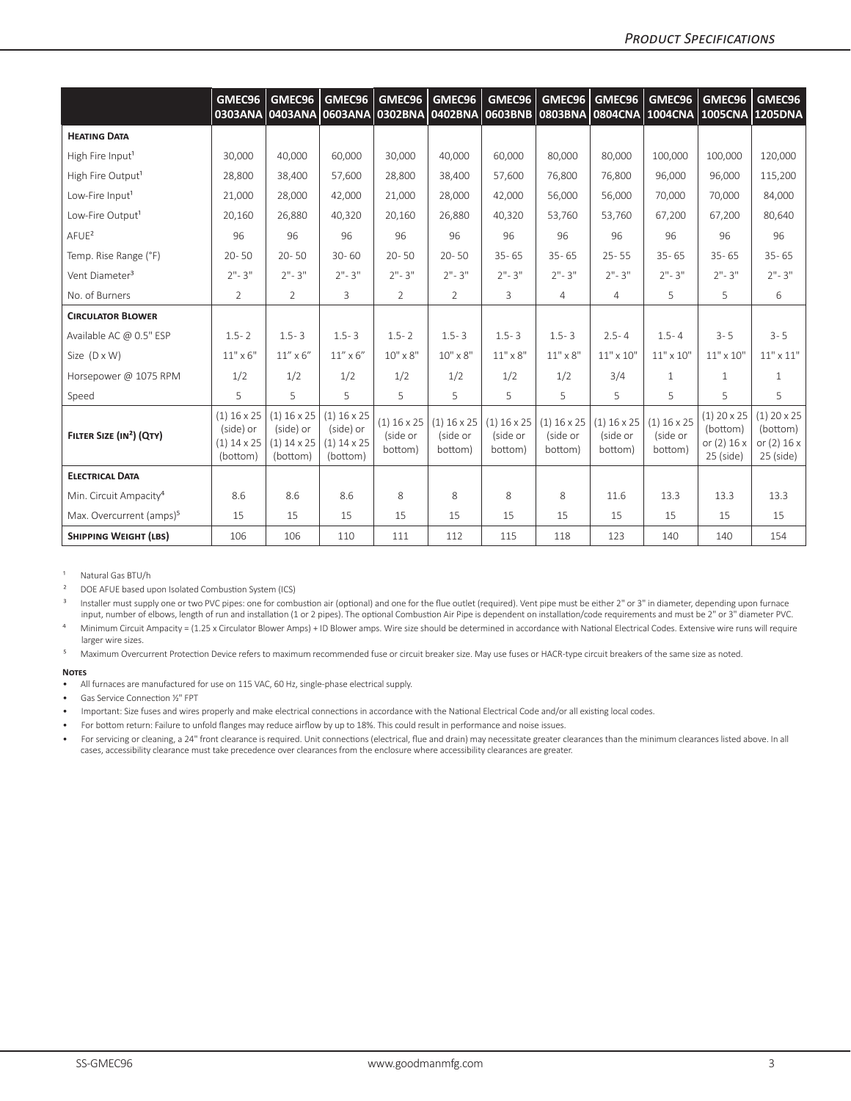|                                      | GMEC96                                                  | GMEC96<br>0303ANA 0403ANA 0603ANA 0302BNA 0402BNA       | GMEC96                                                         | GMEC96                               | GMEC96                               | GMEC96<br>0603BNB                    | GMEC96                               | GMEC96                               | GMEC96                               | GMEC96<br>0803BNA 0804CNA 1004CNA 1005CNA 1205DNA         | GMEC96                                                    |
|--------------------------------------|---------------------------------------------------------|---------------------------------------------------------|----------------------------------------------------------------|--------------------------------------|--------------------------------------|--------------------------------------|--------------------------------------|--------------------------------------|--------------------------------------|-----------------------------------------------------------|-----------------------------------------------------------|
| <b>HEATING DATA</b>                  |                                                         |                                                         |                                                                |                                      |                                      |                                      |                                      |                                      |                                      |                                                           |                                                           |
| High Fire Input <sup>1</sup>         | 30.000                                                  | 40.000                                                  | 60,000                                                         | 30,000                               | 40.000                               | 60.000                               | 80.000                               | 80.000                               | 100.000                              | 100.000                                                   | 120,000                                                   |
| High Fire Output <sup>1</sup>        | 28,800                                                  | 38,400                                                  | 57,600                                                         | 28.800                               | 38,400                               | 57,600                               | 76.800                               | 76.800                               | 96,000                               | 96,000                                                    | 115,200                                                   |
| Low-Fire Input <sup>1</sup>          | 21,000                                                  | 28,000                                                  | 42,000                                                         | 21,000                               | 28,000                               | 42,000                               | 56,000                               | 56,000                               | 70,000                               | 70,000                                                    | 84,000                                                    |
| Low-Fire Output <sup>1</sup>         | 20,160                                                  | 26,880                                                  | 40,320                                                         | 20,160                               | 26,880                               | 40,320                               | 53,760                               | 53,760                               | 67,200                               | 67,200                                                    | 80,640                                                    |
| A F U E <sup>2</sup>                 | 96                                                      | 96                                                      | 96                                                             | 96                                   | 96                                   | 96                                   | 96                                   | 96                                   | 96                                   | 96                                                        | 96                                                        |
| Temp. Rise Range (°F)                | $20 - 50$                                               | $20 - 50$                                               | $30 - 60$                                                      | $20 - 50$                            | $20 - 50$                            | $35 - 65$                            | $35 - 65$                            | $25 - 55$                            | $35 - 65$                            | $35 - 65$                                                 | $35 - 65$                                                 |
| Vent Diameter <sup>3</sup>           | $2" - 3"$                                               | $2" - 3"$                                               | $2" - 3"$                                                      | $2" - 3"$                            | $2" - 3"$                            | $2" - 3"$                            | $2" - 3"$                            | $2" - 3"$                            | $2" - 3"$                            | $2" - 3"$                                                 | $2" - 3"$                                                 |
| No. of Burners                       | $\overline{2}$                                          | $\overline{2}$                                          | 3                                                              | 2                                    | $\overline{2}$                       | 3                                    | 4                                    | $\overline{4}$                       | 5                                    | 5                                                         | 6                                                         |
| <b>CIRCULATOR BLOWER</b>             |                                                         |                                                         |                                                                |                                      |                                      |                                      |                                      |                                      |                                      |                                                           |                                                           |
| Available AC @ 0.5" ESP              | $1.5 - 2$                                               | $1.5 - 3$                                               | $1.5 - 3$                                                      | $1.5 - 2$                            | $1.5 - 3$                            | $1.5 - 3$                            | $1.5 - 3$                            | $2.5 - 4$                            | $1.5 - 4$                            | $3 - 5$                                                   | $3 - 5$                                                   |
| Size $(D \times W)$                  | $11" \times 6"$                                         | $11''$ x 6"                                             | $11''$ x 6"                                                    | $10'' \times 8''$                    | $10'' \times 8''$                    | $11" \times 8"$                      | $11" \times 8"$                      | $11" \times 10"$                     | $11" \times 10"$                     | $11" \times 10"$                                          | $11^{\rm o} \times 11^{\rm o}$                            |
| Horsepower @ 1075 RPM                | 1/2                                                     | 1/2                                                     | 1/2                                                            | 1/2                                  | 1/2                                  | 1/2                                  | 1/2                                  | 3/4                                  | $\mathbf{1}$                         | $\mathbf{1}$                                              | $\mathbf{1}$                                              |
| Speed                                | 5                                                       | 5                                                       | 5                                                              | 5                                    | 5                                    | 5                                    | 5                                    | 5                                    | 5                                    | 5                                                         | 5                                                         |
| FILTER SIZE (IN <sup>2</sup> ) (QTY) | $(1)$ 16 x 25<br>(side) or<br>$(1)$ 14 x 25<br>(bottom) | $(1)$ 16 x 25<br>(side) or<br>$(1)$ 14 x 25<br>(bottom) | $(1)$ 16 x 25<br>(side) or<br>$(1)$ 14 $\times$ 25<br>(bottom) | $(1)$ 16 x 25<br>(side or<br>bottom) | $(1)$ 16 x 25<br>(side or<br>bottom) | $(1)$ 16 x 25<br>(side or<br>bottom) | $(1)$ 16 x 25<br>(side or<br>bottom) | $(1)$ 16 x 25<br>(side or<br>bottom) | $(1)$ 16 x 25<br>(side or<br>bottom) | $(1)$ 20 x 25<br>(bottom)<br>or $(2)$ 16 x<br>$25$ (side) | $(1)$ 20 x 25<br>(bottom)<br>or $(2)$ 16 x<br>$25$ (side) |
| <b>ELECTRICAL DATA</b>               |                                                         |                                                         |                                                                |                                      |                                      |                                      |                                      |                                      |                                      |                                                           |                                                           |
| Min. Circuit Ampacity <sup>4</sup>   | 8.6                                                     | 8.6                                                     | 8.6                                                            | 8                                    | 8                                    | 8                                    | 8                                    | 11.6                                 | 13.3                                 | 13.3                                                      | 13.3                                                      |
| Max. Overcurrent (amps) <sup>5</sup> | 15                                                      | 15                                                      | 15                                                             | 15                                   | 15                                   | 15                                   | 15                                   | 15                                   | 15                                   | 15                                                        | 15                                                        |
| <b>SHIPPING WEIGHT (LBS)</b>         | 106                                                     | 106                                                     | 110                                                            | 111                                  | 112                                  | 115                                  | 118                                  | 123                                  | 140                                  | 140                                                       | 154                                                       |

<sup>1</sup> Natural Gas BTU/h<br><sup>2</sup> DOE AFLIE based u

DOE AFUE based upon Isolated Combustion System (ICS)

<sup>3</sup> Installer must supply one or two PVC pipes: one for combustion air (optional) and one for the flue outlet (required). Vent pipe must be either 2" or 3" in diameter, depending upon furnace input, number of elbows, length of run and installation (1 or 2 pipes). The optional Combustion Air Pipe is dependent on installation/code requirements and must be 2" or 3" diameter PVC.

⁴ Minimum Circuit Ampacity = (1.25 x Circulator Blower Amps) + ID Blower amps. Wire size should be determined in accordance with National Electrical Codes. Extensive wire runs will require larger wire sizes.

<sup>5</sup> Maximum Overcurrent Protection Device refers to maximum recommended fuse or circuit breaker size. May use fuses or HACR-type circuit breakers of the same size as noted.

## **Notes**

• All furnaces are manufactured for use on 115 VAC, 60 Hz, single-phase electrical supply.

• Gas Service Connection ½" FPT

- Important: Size fuses and wires properly and make electrical connections in accordance with the National Electrical Code and/or all existing local codes.
- For bottom return: Failure to unfold flanges may reduce airflow by up to 18%. This could result in performance and noise issues.
- For servicing or cleaning, a 24" front clearance is required. Unit connections (electrical, flue and drain) may necessitate greater clearances than the minimum clearances listed above. In all cases, accessibility clearance must take precedence over clearances from the enclosure where accessibility clearances are greater.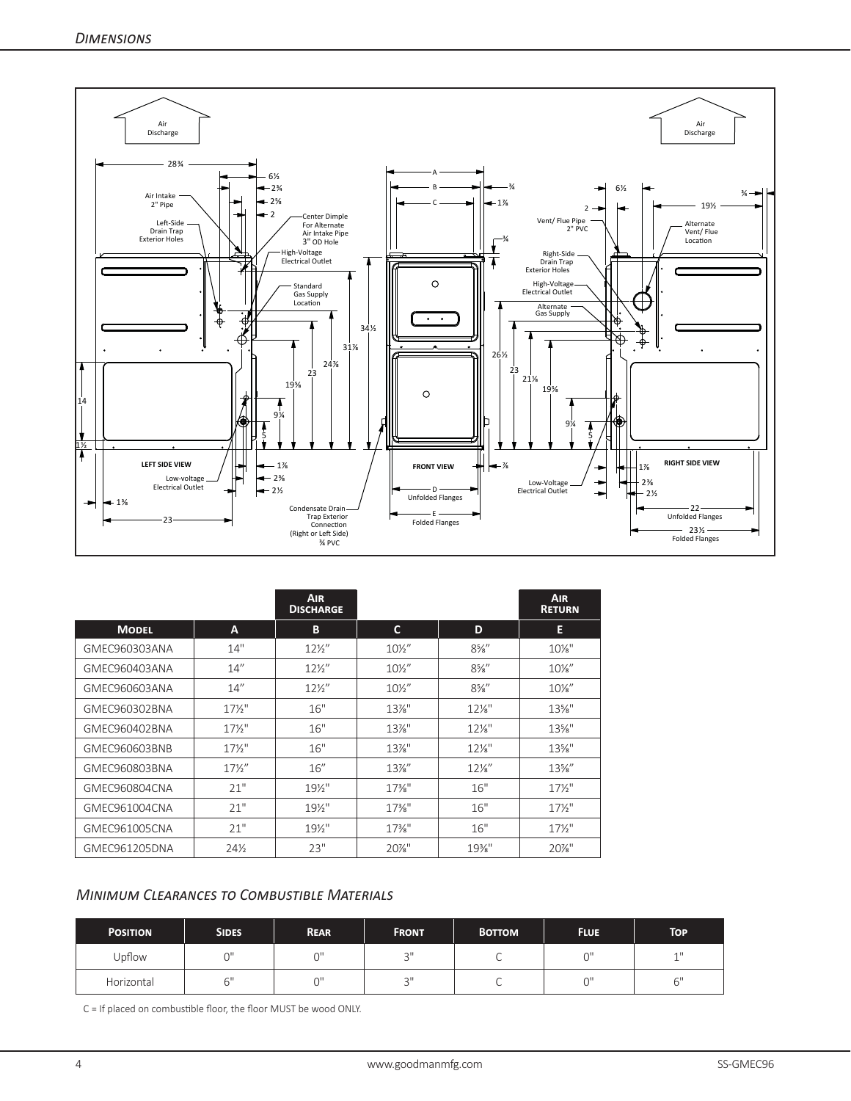

|               |                 | <b>AIR</b><br><b>DISCHARGE</b> |                   |                  | <b>AIR</b><br><b>RETURN</b> |
|---------------|-----------------|--------------------------------|-------------------|------------------|-----------------------------|
| <b>MODEL</b>  | A               | B                              | C                 | D                | E                           |
| GMEC960303ANA | 14"             | $12\frac{1}{2}$                | $10\frac{1}{2}$   | $8\frac{5}{8}$ " | $10\%$ "                    |
| GMEC960403ANA | 14''            | $12\frac{1}{2}$                | $10\frac{1}{2}$   | $8\frac{5}{8}$ " | $10\%$ "                    |
| GMEC960603ANA | 14''            | $12\frac{1}{2}$                | $10\frac{1}{2}$   | $8\frac{5}{8}$ " | $10\%$ "                    |
| GMEC960302BNA | $17\frac{1}{2}$ | 16"                            | $13\%$ "          | $12\%$ "         | $13\%$ "                    |
| GMEC960402BNA | $17\frac{1}{2}$ | 16"                            | $13\%$ "          | $12\%$ "         | $13\%$ "                    |
| GMEC960603BNB | $17\frac{1}{2}$ | 16"                            | $13\%$ "          | $12\frac{1}{8}$  | $13\%$ "                    |
| GMEC960803BNA | $17\frac{1}{2}$ | 16''                           | $13\%$ "          | $12\%$ "         | $13\%$ "                    |
| GMEC960804CNA | 21"             | $19\%$ "                       | $17\frac{3}{8}$ " | 16"              | $17\frac{1}{2}$             |
| GMEC961004CNA | 21"             | $19\frac{1}{2}$                | $17\%$ "          | 16"              | $17\frac{1}{2}$             |
| GMEC961005CNA | 21"             | $19\frac{1}{2}$                | $17\frac{3}{8}$ " | 16"              | $17\frac{1}{2}$             |
| GMEC961205DNA | 24%             | 23"                            | $20\%$ "          | $19\%$ "         | $20\%$ "                    |

# *Minimum Clearances to Combustible Materials*

| <b>POSITION</b> | <b>SIDES</b> | <b>REAR</b> | <b>FRONT</b> | <b>BOTTOM</b> | <b>FLUE</b> | <b>TOP</b> |
|-----------------|--------------|-------------|--------------|---------------|-------------|------------|
| Upflow          | $\bigcap$    | $\bigcap$   | $\sim$ II    | ◡             |             | $-1$       |
| Horizontal      | $\sim$ 1     | $\bigcap$   | $\sim$ II    | ◡             | $\sim$      | $\sim$ 11  |

C = If placed on combustible floor, the floor MUST be wood ONLY.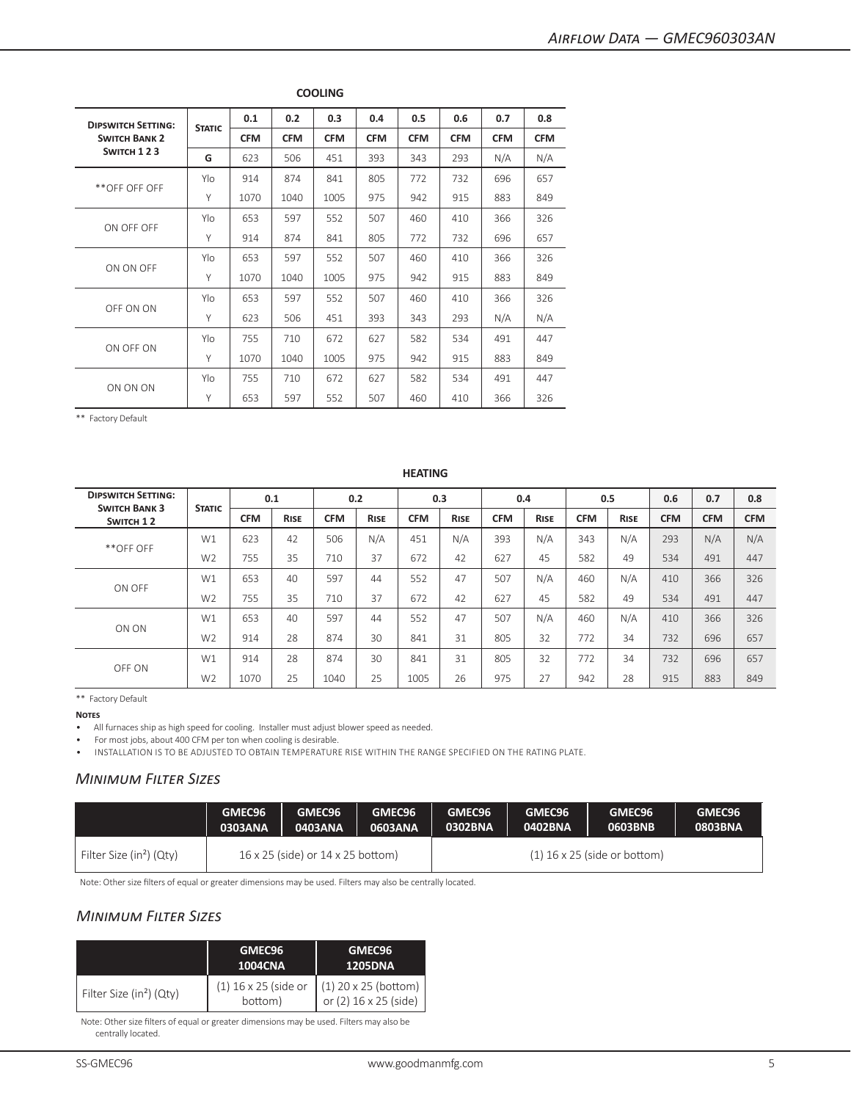| <b>DIPSWITCH SETTING:</b> |               | 0.1        | 0.2        | 0.3        | 0.4        | 0.5        | 0.6        | 0.7        | 0.8        |
|---------------------------|---------------|------------|------------|------------|------------|------------|------------|------------|------------|
| <b>SWITCH BANK 2</b>      | <b>STATIC</b> | <b>CFM</b> | <b>CFM</b> | <b>CFM</b> | <b>CFM</b> | <b>CFM</b> | <b>CFM</b> | <b>CFM</b> | <b>CFM</b> |
| SWITCH 123                | G             | 623        | 506        | 451        | 393        | 343        | 293        | N/A        | N/A        |
|                           | Ylo           | 914        | 874        | 841        | 805        | 772        | 732        | 696        | 657        |
| **OFF OFF OFF             | Y             | 1070       | 1040       | 1005       | 975        | 942        | 915        | 883        | 849        |
|                           | Ylo           | 653        | 597        | 552        | 507        | 460        | 410        | 366        | 326        |
| ON OFF OFF                | Y             | 914        | 874        | 841        | 805        | 772        | 732        | 696        | 657        |
|                           | Ylo           | 653        | 597        | 552        | 507        | 460        | 410        | 366        | 326        |
| ON ON OFF                 | Y             | 1070       | 1040       | 1005       | 975        | 942        | 915        | 883        | 849        |
|                           | Ylo           | 653        | 597        | 552        | 507        | 460        | 410        | 366        | 326        |
| OFF ON ON                 | Y             | 623        | 506        | 451        | 393        | 343        | 293        | N/A        | N/A        |
|                           | Ylo           | 755        | 710        | 672        | 627        | 582        | 534        | 491        | 447        |
| ON OFF ON                 | Y             | 1070       | 1040       | 1005       | 975        | 942        | 915        | 883        | 849        |
|                           | Ylo           | 755        | 710        | 672        | 627        | 582        | 534        | 491        | 447        |
| ON ON ON                  | Y             | 653        | 597        | 552        | 507        | 460        | 410        | 366        | 326        |

**COOLING**

## **HEATING**

| <b>DIPSWITCH SETTING:</b><br><b>SWITCH BANK 3</b> | <b>STATIC</b>  |            | 0.1         | 0.2        |             | 0.3        |             | 0.4        |             | 0.5        |             | 0.6        | 0.7        | 0.8        |
|---------------------------------------------------|----------------|------------|-------------|------------|-------------|------------|-------------|------------|-------------|------------|-------------|------------|------------|------------|
| SWITCH 12                                         |                | <b>CFM</b> | <b>RISE</b> | <b>CFM</b> | <b>RISE</b> | <b>CFM</b> | <b>RISE</b> | <b>CFM</b> | <b>RISE</b> | <b>CFM</b> | <b>RISE</b> | <b>CFM</b> | <b>CFM</b> | <b>CFM</b> |
| **OFF OFF                                         | W1             | 623        | 42          | 506        | N/A         | 451        | N/A         | 393        | N/A         | 343        | N/A         | 293        | N/A        | N/A        |
|                                                   | W <sub>2</sub> | 755        | 35          | 710        | 37          | 672        | 42          | 627        | 45          | 582        | 49          | 534        | 491        | 447        |
| ON OFF                                            | W1             | 653        | 40          | 597        | 44          | 552        | 47          | 507        | N/A         | 460        | N/A         | 410        | 366        | 326        |
|                                                   | W <sub>2</sub> | 755        | 35          | 710        | 37          | 672        | 42          | 627        | 45          | 582        | 49          | 534        | 491        | 447        |
| ON ON                                             | W1             | 653        | 40          | 597        | 44          | 552        | 47          | 507        | N/A         | 460        | N/A         | 410        | 366        | 326        |
|                                                   | W <sub>2</sub> | 914        | 28          | 874        | 30          | 841        | 31          | 805        | 32          | 772        | 34          | 732        | 696        | 657        |
| OFF ON                                            | W1             | 914        | 28          | 874        | 30          | 841        | 31          | 805        | 32          | 772        | 34          | 732        | 696        | 657        |
|                                                   | W <sub>2</sub> | 1070       | 25          | 1040       | 25          | 1005       | 26          | 975        | 27          | 942        | 28          | 915        | 883        | 849        |

\*\* Factory Default

**Notes**

• All furnaces ship as high speed for cooling. Installer must adjust blower speed as needed.

• For most jobs, about 400 CFM per ton when cooling is desirable.

• INSTALLATION IS TO BE ADJUSTED TO OBTAIN TEMPERATURE RISE WITHIN THE RANGE SPECIFIED ON THE RATING PLATE.

# *Minimum Filter Sizes*

|                                      | GMEC96  | GMEC96                            | GMEC96  | GMEC96  | GMEC96  | GMEC96                         | GMEC <sub>96</sub> |
|--------------------------------------|---------|-----------------------------------|---------|---------|---------|--------------------------------|--------------------|
|                                      | 0303ANA | 0403ANA                           | 0603ANA | 0302BNA | 0402BNA | 0603BNB                        | 0803BNA            |
| Filter Size (in <sup>2</sup> ) (Qty) |         | 16 x 25 (side) or 14 x 25 bottom) |         |         |         | $(1)$ 16 x 25 (side or bottom) |                    |

Note: Other size filters of equal or greater dimensions may be used. Filters may also be centrally located.

# *Minimum Filter Sizes*

|                                      | GMEC96<br>1004CNA               | GMEC96<br><b>1205DNA</b>                          |
|--------------------------------------|---------------------------------|---------------------------------------------------|
| Filter Size (in <sup>2</sup> ) (Qty) | (1) 16 x 25 (side or<br>bottom) | $(1)$ 20 x 25 (bottom)<br>or $(2)$ 16 x 25 (side) |

Note: Other size filters of equal or greater dimensions may be used. Filters may also be centrally located.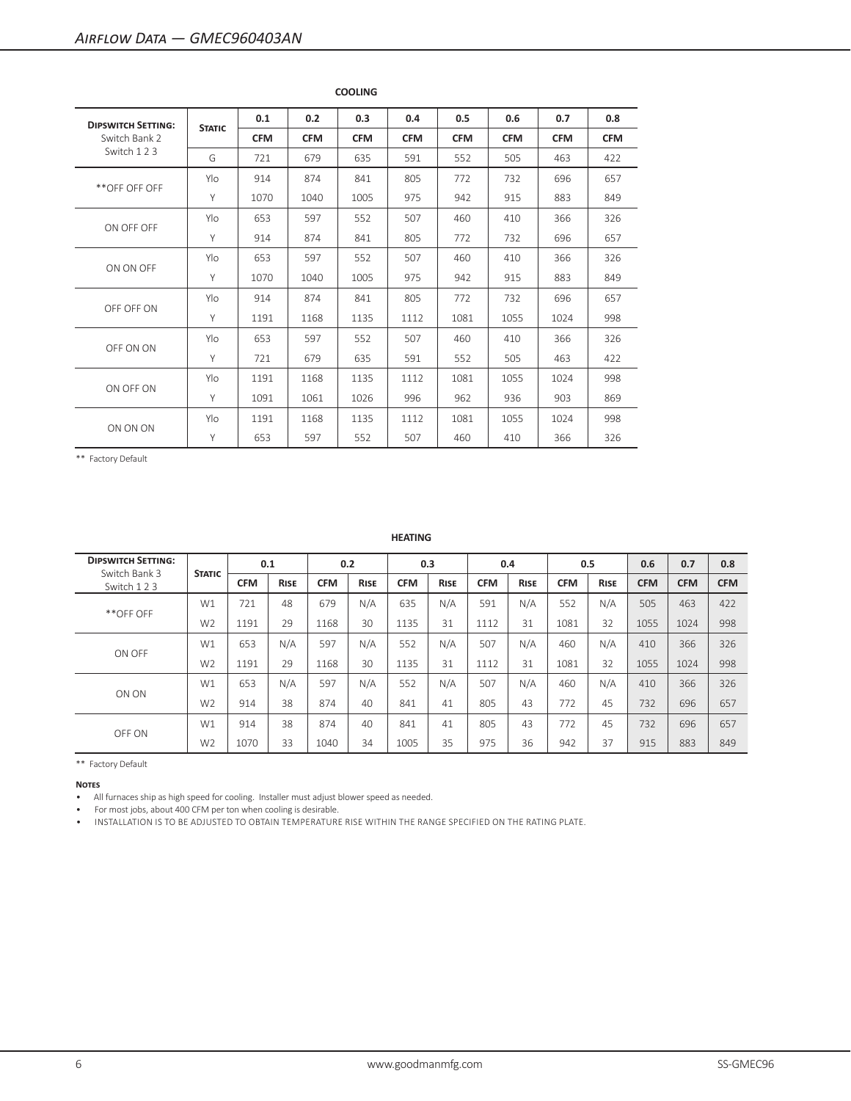| <b>DIPSWITCH SETTING:</b> | <b>STATIC</b> | 0.1        | 0.2        | 0.3        | 0.4        | 0.5        | 0.6        | 0.7        | 0.8        |
|---------------------------|---------------|------------|------------|------------|------------|------------|------------|------------|------------|
| Switch Bank 2             |               | <b>CFM</b> | <b>CFM</b> | <b>CFM</b> | <b>CFM</b> | <b>CFM</b> | <b>CFM</b> | <b>CFM</b> | <b>CFM</b> |
| Switch 123                | G             | 721        | 679        | 635        | 591        | 552        | 505        | 463        | 422        |
|                           | Ylo           | 914        | 874        | 841        | 805        | 772        | 732        | 696        | 657        |
| **OFF OFF OFF             | Y             | 1070       | 1040       | 1005       | 975        | 942        | 915        | 883        | 849        |
|                           | Ylo           | 653        | 597        | 552        | 507        | 460        | 410        | 366        | 326        |
| ON OFF OFF                | Y             | 914        | 874        | 841        | 805        | 772        | 732        | 696        | 657        |
|                           | Ylo           | 653        | 597        | 552        | 507        | 460        | 410        | 366        | 326        |
| ON ON OFF                 | Y             | 1070       | 1040       | 1005       | 975        | 942        | 915        | 883        | 849        |
|                           | Ylo           | 914        | 874        | 841        | 805        | 772        | 732        | 696        | 657        |
| OFF OFF ON                | Υ             | 1191       | 1168       | 1135       | 1112       | 1081       | 1055       | 1024       | 998        |
|                           | Ylo           | 653        | 597        | 552        | 507        | 460        | 410        | 366        | 326        |
| OFF ON ON                 | Y             | 721        | 679        | 635        | 591        | 552        | 505        | 463        | 422        |
|                           | Ylo           | 1191       | 1168       | 1135       | 1112       | 1081       | 1055       | 1024       | 998        |
| ON OFF ON                 | Υ             | 1091       | 1061       | 1026       | 996        | 962        | 936        | 903        | 869        |
| ON ON ON                  | Ylo           | 1191       | 1168       | 1135       | 1112       | 1081       | 1055       | 1024       | 998        |
|                           | Y             | 653        | 597        | 552        | 507        | 460        | 410        | 366        | 326        |

**COOLING**

\*\* Factory Default

| <b>DIPSWITCH SETTING:</b><br>Switch Bank 3 | <b>STATIC</b>  |            | 0.1         |            | 0.2         |            | 0.3         |            | 0.4         | 0.5        |             | 0.6        | 0.7        | 0.8        |
|--------------------------------------------|----------------|------------|-------------|------------|-------------|------------|-------------|------------|-------------|------------|-------------|------------|------------|------------|
| Switch 123                                 |                | <b>CFM</b> | <b>RISE</b> | <b>CFM</b> | <b>RISE</b> | <b>CFM</b> | <b>RISE</b> | <b>CFM</b> | <b>RISE</b> | <b>CFM</b> | <b>RISE</b> | <b>CFM</b> | <b>CFM</b> | <b>CFM</b> |
| **OFF OFF                                  | W1             | 721        | 48          | 679        | N/A         | 635        | N/A         | 591        | N/A         | 552        | N/A         | 505        | 463        | 422        |
|                                            | W <sub>2</sub> | 1191       | 29          | 1168       | 30          | 1135       | 31          | 1112       | 31          | 1081       | 32          | 1055       | 1024       | 998        |
| ON OFF                                     | W1             | 653        | N/A         | 597        | N/A         | 552        | N/A         | 507        | N/A         | 460        | N/A         | 410        | 366        | 326        |
|                                            | W <sub>2</sub> | 1191       | 29          | 1168       | 30          | 1135       | 31          | 1112       | 31          | 1081       | 32          | 1055       | 1024       | 998        |
| ON ON                                      | W1             | 653        | N/A         | 597        | N/A         | 552        | N/A         | 507        | N/A         | 460        | N/A         | 410        | 366        | 326        |
|                                            | W <sub>2</sub> | 914        | 38          | 874        | 40          | 841        | 41          | 805        | 43          | 772        | 45          | 732        | 696        | 657        |
|                                            | W1             | 914        | 38          | 874        | 40          | 841        | 41          | 805        | 43          | 772        | 45          | 732        | 696        | 657        |
| OFF ON                                     | W <sub>2</sub> | 1070       | 33          | 1040       | 34          | 1005       | 35          | 975        | 36          | 942        | 37          | 915        | 883        | 849        |

**HEATING**

\*\* Factory Default

**Notes**

• All furnaces ship as high speed for cooling. Installer must adjust blower speed as needed.

• For most jobs, about 400 CFM per ton when cooling is desirable.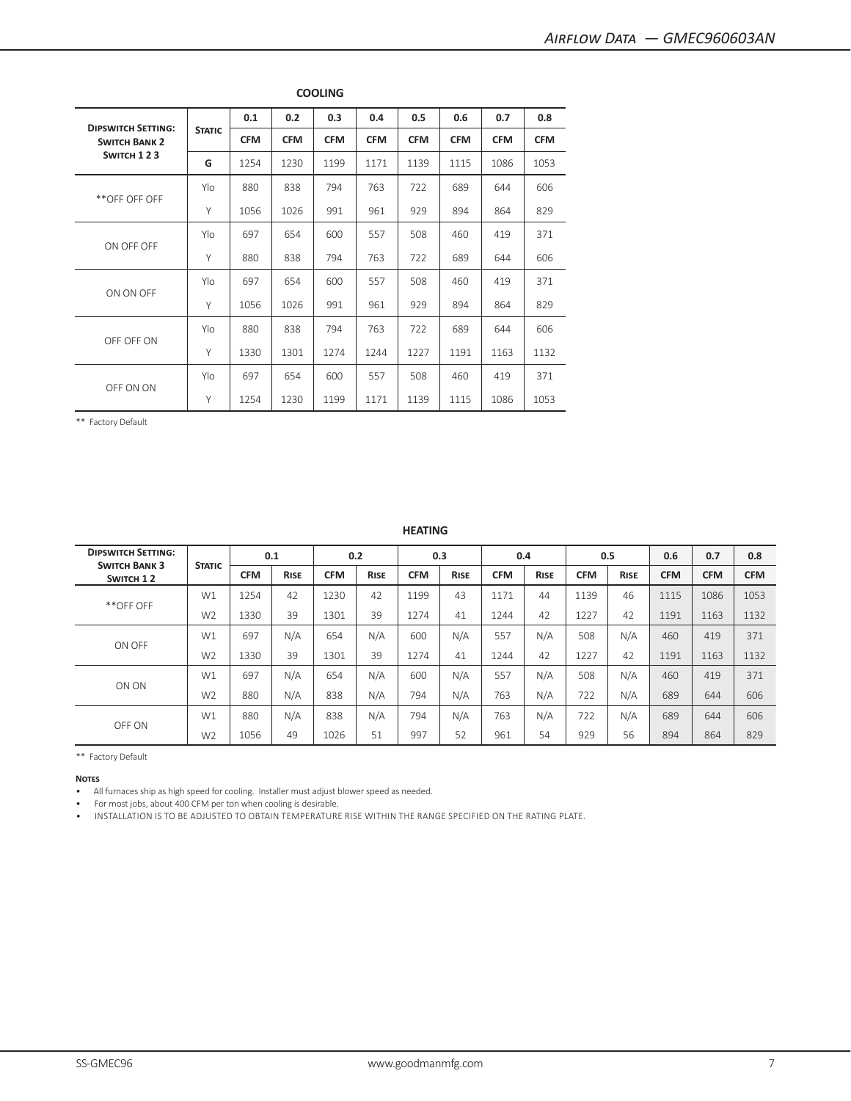| <b>DIPSWITCH SETTING:</b> |               | 0.1        | 0.2        | 0.3        | 0.4        | 0.5        | 0.6        | 0.7        | 0.8        |
|---------------------------|---------------|------------|------------|------------|------------|------------|------------|------------|------------|
| <b>SWITCH BANK 2</b>      | <b>STATIC</b> | <b>CFM</b> | <b>CFM</b> | <b>CFM</b> | <b>CFM</b> | <b>CFM</b> | <b>CFM</b> | <b>CFM</b> | <b>CFM</b> |
| SWITCH 123                | G             | 1254       | 1230       | 1199       | 1171       | 1139       | 1115       | 1086       | 1053       |
|                           | Ylo           | 880        | 838        | 794        | 763        | 722        | 689        | 644        | 606        |
| **OFF OFF OFF             | Y             | 1056       | 1026       | 991        | 961        | 929        | 894        | 864        | 829        |
| ON OFF OFF                | Ylo           | 697        | 654        | 600        | 557        | 508        | 460        | 419        | 371        |
|                           | Y             | 880        | 838        | 794        | 763        | 722        | 689        | 644        | 606        |
|                           | Ylo           | 697        | 654        | 600        | 557        | 508        | 460        | 419        | 371        |
| ON ON OFF                 | Y             | 1056       | 1026       | 991        | 961        | 929        | 894        | 864        | 829        |
|                           | Ylo           | 880        | 838        | 794        | 763        | 722        | 689        | 644        | 606        |
| OFF OFF ON                | Y             | 1330       | 1301       | 1274       | 1244       | 1227       | 1191       | 1163       | 1132       |
|                           | Ylo           | 697        | 654        | 600        | 557        | 508        | 460        | 419        | 371        |
| OFF ON ON                 | Y             | 1254       | 1230       | 1199       | 1171       | 1139       | 1115       | 1086       | 1053       |

**COOLING**

**HEATING**

| <b>DIPSWITCH SETTING:</b><br><b>SWITCH BANK 3</b> |                |            | 0.1         |            | 0.2         |            | 0.3         |            | 0.4         |            | 0.5         | 0.6        | 0.7        | 0.8        |
|---------------------------------------------------|----------------|------------|-------------|------------|-------------|------------|-------------|------------|-------------|------------|-------------|------------|------------|------------|
| SWITCH 12                                         | <b>STATIC</b>  | <b>CFM</b> | <b>RISE</b> | <b>CFM</b> | <b>RISE</b> | <b>CFM</b> | <b>RISE</b> | <b>CFM</b> | <b>RISE</b> | <b>CFM</b> | <b>RISE</b> | <b>CFM</b> | <b>CFM</b> | <b>CFM</b> |
|                                                   | W1             | 1254       | 42          | 1230       | 42          | 1199       | 43          | 1171       | 44          | 1139       | 46          | 1115       | 1086       | 1053       |
| **OFF OFF                                         | W <sub>2</sub> | 1330       | 39          | 1301       | 39          | 1274       | 41          | 1244       | 42          | 1227       | 42          | 1191       | 1163       | 1132       |
| ON OFF                                            | W1             | 697        | N/A         | 654        | N/A         | 600        | N/A         | 557        | N/A         | 508        | N/A         | 460        | 419        | 371        |
|                                                   | W <sub>2</sub> | 1330       | 39          | 1301       | 39          | 1274       | 41          | 1244       | 42          | 1227       | 42          | 1191       | 1163       | 1132       |
|                                                   | W1             | 697        | N/A         | 654        | N/A         | 600        | N/A         | 557        | N/A         | 508        | N/A         | 460        | 419        | 371        |
| ON ON                                             | W <sub>2</sub> | 880        | N/A         | 838        | N/A         | 794        | N/A         | 763        | N/A         | 722        | N/A         | 689        | 644        | 606        |
| OFF ON                                            | W1             | 880        | N/A         | 838        | N/A         | 794        | N/A         | 763        | N/A         | 722        | N/A         | 689        | 644        | 606        |
|                                                   | W <sub>2</sub> | 1056       | 49          | 1026       | 51          | 997        | 52          | 961        | 54          | 929        | 56          | 894        | 864        | 829        |

\*\* Factory Default

**Notes**

• All furnaces ship as high speed for cooling. Installer must adjust blower speed as needed.

• For most jobs, about 400 CFM per ton when cooling is desirable.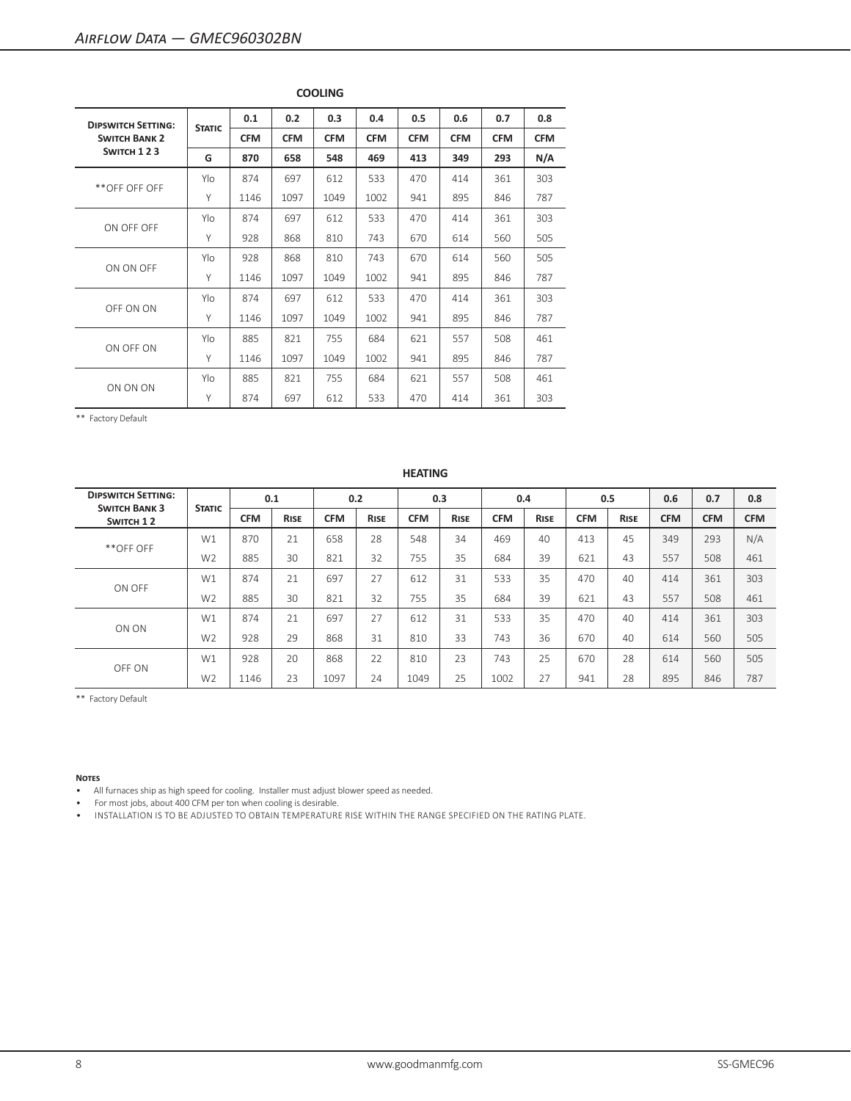| <b>DIPSWITCH SETTING:</b> |               | 0.1        | 0.2        | 0.3        | 0.4        | 0.5        | 0.6        | 0.7        | 0.8        |
|---------------------------|---------------|------------|------------|------------|------------|------------|------------|------------|------------|
| <b>SWITCH BANK 2</b>      | <b>STATIC</b> | <b>CFM</b> | <b>CFM</b> | <b>CFM</b> | <b>CFM</b> | <b>CFM</b> | <b>CFM</b> | <b>CFM</b> | <b>CFM</b> |
| SWITCH 123                | G             | 870        | 658        | 548        | 469        | 413        | 349        | 293        | N/A        |
|                           | Ylo           | 874        | 697        | 612        | 533        | 470        | 414        | 361        | 303        |
| **OFF OFF OFF             | Y             | 1146       | 1097       | 1049       | 1002       | 941        | 895        | 846        | 787        |
| ON OFF OFF                | Ylo           | 874        | 697        | 612        | 533        | 470        | 414        | 361        | 303        |
|                           | Y             | 928        | 868        | 810        | 743        | 670        | 614        | 560        | 505        |
|                           | Ylo           | 928        | 868        | 810        | 743        | 670        | 614        | 560        | 505        |
| ON ON OFF                 | Y             | 1146       | 1097       | 1049       | 1002       | 941        | 895        | 846        | 787        |
| OFF ON ON                 | Ylo           | 874        | 697        | 612        | 533        | 470        | 414        | 361        | 303        |
|                           | Y             | 1146       | 1097       | 1049       | 1002       | 941        | 895        | 846        | 787        |
|                           | Ylo           | 885        | 821        | 755        | 684        | 621        | 557        | 508        | 461        |
| ON OFF ON                 | Y             | 1146       | 1097       | 1049       | 1002       | 941        | 895        | 846        | 787        |
| ON ON ON                  | Ylo           | 885        | 821        | 755        | 684        | 621        | 557        | 508        | 461        |
|                           | Y             | 874        | 697        | 612        | 533        | 470        | 414        | 361        | 303        |

# **COOLING**

\*\* Factory Default

# **HEATING**

| <b>DIPSWITCH SETTING:</b><br><b>SWITCH BANK 3</b> | <b>STATIC</b>  |            | 0.1         |            | 0.2         |            | 0.3         | 0.4        |             | 0.5        |             | 0.6        | 0.7        | 0.8        |
|---------------------------------------------------|----------------|------------|-------------|------------|-------------|------------|-------------|------------|-------------|------------|-------------|------------|------------|------------|
| SWITCH 12                                         |                | <b>CFM</b> | <b>RISE</b> | <b>CFM</b> | <b>RISE</b> | <b>CFM</b> | <b>RISE</b> | <b>CFM</b> | <b>RISE</b> | <b>CFM</b> | <b>RISE</b> | <b>CFM</b> | <b>CFM</b> | <b>CFM</b> |
|                                                   | W1             | 870        | 21          | 658        | 28          | 548        | 34          | 469        | 40          | 413        | 45          | 349        | 293        | N/A        |
| **OFF OFF                                         | W <sub>2</sub> | 885        | 30          | 821        | 32          | 755        | 35          | 684        | 39          | 621        | 43          | 557        | 508        | 461        |
| ON OFF                                            | W1             | 874        | 21          | 697        | 27          | 612        | 31          | 533        | 35          | 470        | 40          | 414        | 361        | 303        |
|                                                   | W <sub>2</sub> | 885        | 30          | 821        | 32          | 755        | 35          | 684        | 39          | 621        | 43          | 557        | 508        | 461        |
|                                                   | W1             | 874        | 21          | 697        | 27          | 612        | 31          | 533        | 35          | 470        | 40          | 414        | 361        | 303        |
| ON ON                                             | W <sub>2</sub> | 928        | 29          | 868        | 31          | 810        | 33          | 743        | 36          | 670        | 40          | 614        | 560        | 505        |
| OFF ON                                            | W1             | 928        | 20          | 868        | 22          | 810        | 23          | 743        | 25          | 670        | 28          | 614        | 560        | 505        |
|                                                   | W <sub>2</sub> | 1146       | 23          | 1097       | 24          | 1049       | 25          | 1002       | 27          | 941        | 28          | 895        | 846        | 787        |

\*\* Factory Default

#### **Notes**

• All furnaces ship as high speed for cooling. Installer must adjust blower speed as needed.

• For most jobs, about 400 CFM per ton when cooling is desirable.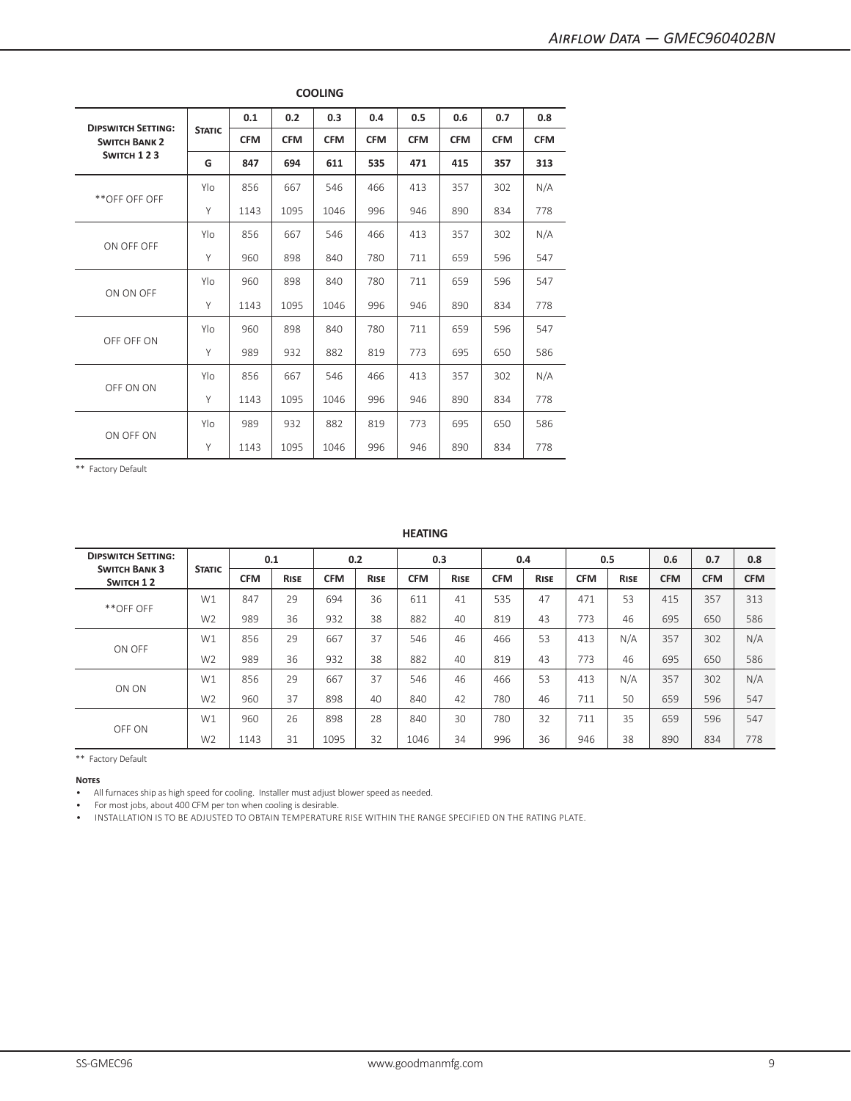| <b>DIPSWITCH SETTING:</b> |               | 0.1        | 0.2        | 0.3        | 0.4        | 0.5        | 0.6        | 0.7        | 0.8        |
|---------------------------|---------------|------------|------------|------------|------------|------------|------------|------------|------------|
| <b>SWITCH BANK 2</b>      | <b>STATIC</b> | <b>CFM</b> | <b>CFM</b> | <b>CFM</b> | <b>CFM</b> | <b>CFM</b> | <b>CFM</b> | <b>CFM</b> | <b>CFM</b> |
| SWITCH 123                | G             | 847        | 694        | 611        | 535        | 471        | 415        | 357        | 313        |
|                           | Ylo           | 856        | 667        | 546        | 466        | 413        | 357        | 302        | N/A        |
| **OFF OFF OFF             | Y             | 1143       | 1095       | 1046       | 996        | 946        | 890        | 834        | 778        |
| ON OFF OFF                | Ylo           | 856        | 667        | 546        | 466        | 413        | 357        | 302        | N/A        |
|                           | Y             | 960        | 898        | 840        | 780        | 711        | 659        | 596        | 547        |
|                           | Ylo           | 960        | 898        | 840        | 780        | 711        | 659        | 596        | 547        |
| ON ON OFF                 | Y             | 1143       | 1095       | 1046       | 996        | 946        | 890        | 834        | 778        |
|                           | Ylo           | 960        | 898        | 840        | 780        | 711        | 659        | 596        | 547        |
| OFF OFF ON                | Y             | 989        | 932        | 882        | 819        | 773        | 695        | 650        | 586        |
|                           | Ylo           | 856        | 667        | 546        | 466        | 413        | 357        | 302        | N/A        |
| OFF ON ON                 | Y             | 1143       | 1095       | 1046       | 996        | 946        | 890        | 834        | 778        |
| ON OFF ON                 | Ylo           | 989        | 932        | 882        | 819        | 773        | 695        | 650        | 586        |
|                           | Y             | 1143       | 1095       | 1046       | 996        | 946        | 890        | 834        | 778        |

**COOLING**

#### **HEATING**

| <b>DIPSWITCH SETTING:</b><br><b>SWITCH BANK 3</b> |                |            | 0.1         |            | 0.2         | 0.3        |             |            | 0.4         |            | 0.5         | 0.6        | 0.7        | 0.8        |
|---------------------------------------------------|----------------|------------|-------------|------------|-------------|------------|-------------|------------|-------------|------------|-------------|------------|------------|------------|
| SWITCH 12                                         | <b>STATIC</b>  | <b>CFM</b> | <b>RISE</b> | <b>CFM</b> | <b>RISE</b> | <b>CFM</b> | <b>RISE</b> | <b>CFM</b> | <b>RISE</b> | <b>CFM</b> | <b>RISE</b> | <b>CFM</b> | <b>CFM</b> | <b>CFM</b> |
|                                                   | W1             | 847        | 29          | 694        | 36          | 611        | 41          | 535        | 47          | 471        | 53          | 415        | 357        | 313        |
| **OFF OFF                                         | W <sub>2</sub> | 989        | 36          | 932        | 38          | 882        | 40          | 819        | 43          | 773        | 46          | 695        | 650        | 586        |
| ON OFF                                            | W1             | 856        | 29          | 667        | 37          | 546        | 46          | 466        | 53          | 413        | N/A         | 357        | 302        | N/A        |
|                                                   | W <sub>2</sub> | 989        | 36          | 932        | 38          | 882        | 40          | 819        | 43          | 773        | 46          | 695        | 650        | 586        |
|                                                   | W1             | 856        | 29          | 667        | 37          | 546        | 46          | 466        | 53          | 413        | N/A         | 357        | 302        | N/A        |
| ON ON                                             | W <sub>2</sub> | 960        | 37          | 898        | 40          | 840        | 42          | 780        | 46          | 711        | 50          | 659        | 596        | 547        |
| OFF ON                                            | W1             | 960        | 26          | 898        | 28          | 840        | 30          | 780        | 32          | 711        | 35          | 659        | 596        | 547        |
|                                                   | W <sub>2</sub> | 1143       | 31          | 1095       | 32          | 1046       | 34          | 996        | 36          | 946        | 38          | 890        | 834        | 778        |

\*\* Factory Default

**Notes**

• All furnaces ship as high speed for cooling. Installer must adjust blower speed as needed.

• For most jobs, about 400 CFM per ton when cooling is desirable.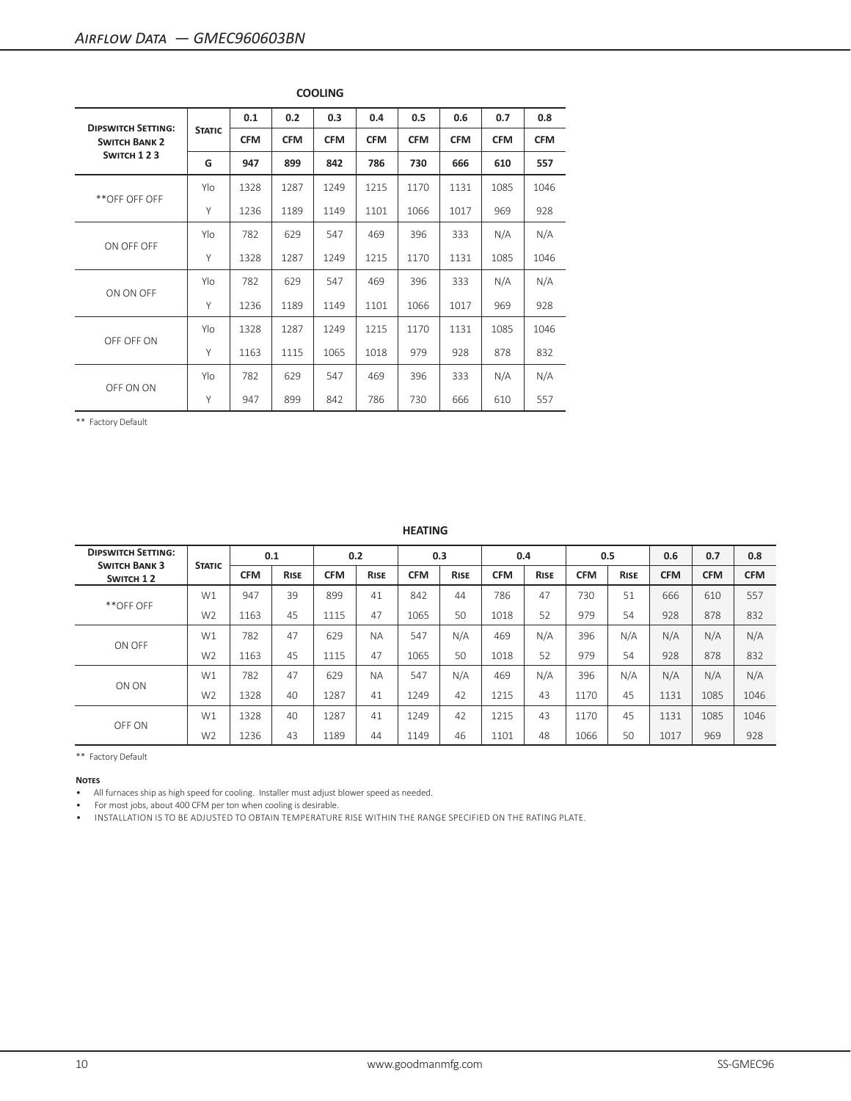|                                                   |               | 0.1        | 0.2        | 0.3        | 0.4        | 0.5        | 0.6        | 0.7        | 0.8        |
|---------------------------------------------------|---------------|------------|------------|------------|------------|------------|------------|------------|------------|
| <b>DIPSWITCH SETTING:</b><br><b>SWITCH BANK 2</b> | <b>STATIC</b> | <b>CFM</b> | <b>CFM</b> | <b>CFM</b> | <b>CFM</b> | <b>CFM</b> | <b>CFM</b> | <b>CFM</b> | <b>CFM</b> |
| SWITCH 123                                        | G             | 947        | 899        | 842        | 786        | 730        | 666        | 610        | 557        |
| **OFF OFF OFF                                     | Ylo           | 1328       | 1287       | 1249       | 1215       | 1170       | 1131       | 1085       | 1046       |
|                                                   | Y             | 1236       | 1189       | 1149       | 1101       | 1066       | 1017       | 969        | 928        |
| ON OFF OFF                                        | Ylo           | 782        | 629        | 547        | 469        | 396        | 333        | N/A        | N/A        |
|                                                   | Y             | 1328       | 1287       | 1249       | 1215       | 1170       | 1131       | 1085       | 1046       |
|                                                   | Ylo           | 782        | 629        | 547        | 469        | 396        | 333        | N/A        | N/A        |
| ON ON OFF                                         | Y             | 1236       | 1189       | 1149       | 1101       | 1066       | 1017       | 969        | 928        |
|                                                   | Ylo           | 1328       | 1287       | 1249       | 1215       | 1170       | 1131       | 1085       | 1046       |
| OFF OFF ON                                        | Y             | 1163       | 1115       | 1065       | 1018       | 979        | 928        | 878        | 832        |
| OFF ON ON                                         | Ylo           | 782        | 629        | 547        | 469        | 396        | 333        | N/A        | N/A        |
|                                                   | Y             | 947        | 899        | 842        | 786        | 730        | 666        | 610        | 557        |

**COOLING**

**HEATING**

| <b>DIPSWITCH SETTING:</b><br><b>SWITCH BANK 3</b> |                |            | 0.1         |            | 0.2         |            | 0.3         |            | 0.4         |            | 0.5         | 0.6        | 0.7        | 0.8        |
|---------------------------------------------------|----------------|------------|-------------|------------|-------------|------------|-------------|------------|-------------|------------|-------------|------------|------------|------------|
| SWITCH 12                                         | <b>STATIC</b>  | <b>CFM</b> | <b>RISE</b> | <b>CFM</b> | <b>RISE</b> | <b>CFM</b> | <b>RISE</b> | <b>CFM</b> | <b>RISE</b> | <b>CFM</b> | <b>RISE</b> | <b>CFM</b> | <b>CFM</b> | <b>CFM</b> |
| **OFF OFF                                         | W1             | 947        | 39          | 899        | 41          | 842        | 44          | 786        | 47          | 730        | 51          | 666        | 610        | 557        |
|                                                   | W <sub>2</sub> | 1163       | 45          | 1115       | 47          | 1065       | 50          | 1018       | 52          | 979        | 54          | 928        | 878        | 832        |
| ON OFF                                            | W1             | 782        | 47          | 629        | <b>NA</b>   | 547        | N/A         | 469        | N/A         | 396        | N/A         | N/A        | N/A        | N/A        |
|                                                   | W <sub>2</sub> | 1163       | 45          | 1115       | 47          | 1065       | 50          | 1018       | 52          | 979        | 54          | 928        | 878        | 832        |
|                                                   | W1             | 782        | 47          | 629        | <b>NA</b>   | 547        | N/A         | 469        | N/A         | 396        | N/A         | N/A        | N/A        | N/A        |
| ON ON                                             | W <sub>2</sub> | 1328       | 40          | 1287       | 41          | 1249       | 42          | 1215       | 43          | 1170       | 45          | 1131       | 1085       | 1046       |
| OFF ON                                            | W1             | 1328       | 40          | 1287       | 41          | 1249       | 42          | 1215       | 43          | 1170       | 45          | 1131       | 1085       | 1046       |
|                                                   | W <sub>2</sub> | 1236       | 43          | 1189       | 44          | 1149       | 46          | 1101       | 48          | 1066       | 50          | 1017       | 969        | 928        |

\*\* Factory Default

**Notes**

• All furnaces ship as high speed for cooling. Installer must adjust blower speed as needed.

• For most jobs, about 400 CFM per ton when cooling is desirable.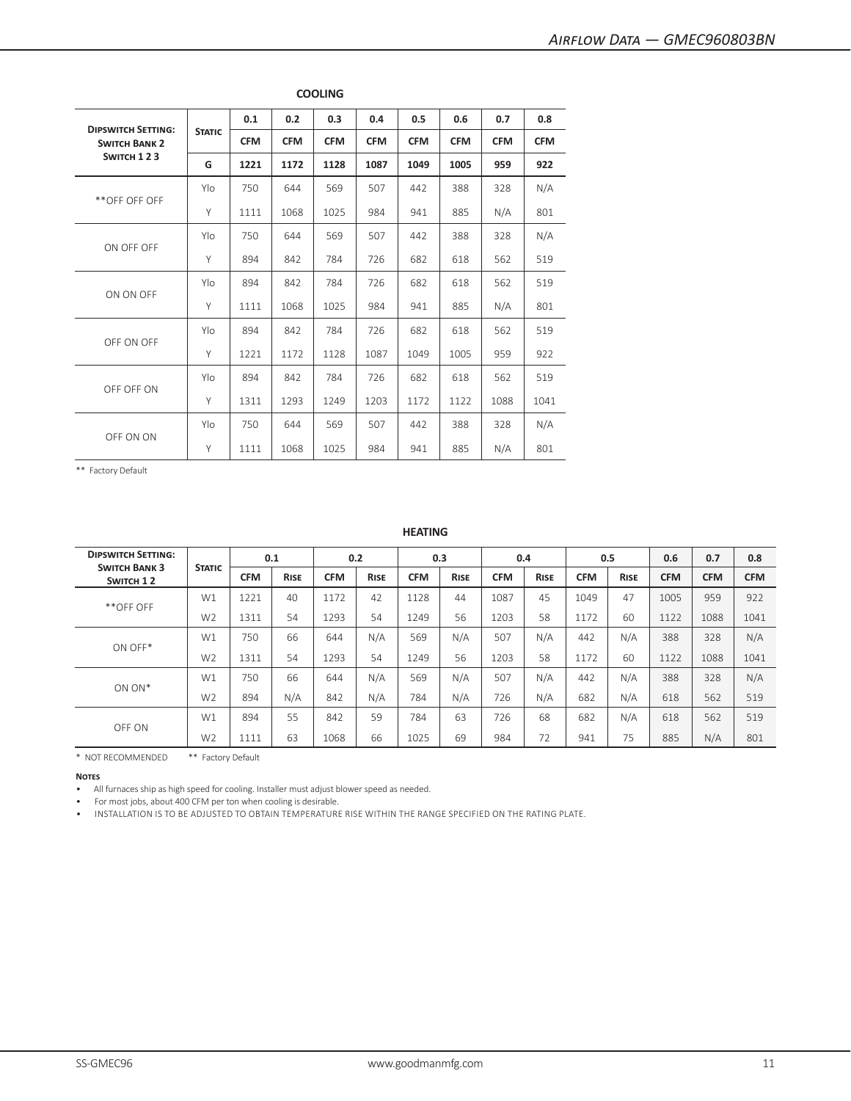|                                                   |               | 0.1        | 0.2        | 0.3        | 0.4        | 0.5        | 0.6        | 0.7        | 0.8        |
|---------------------------------------------------|---------------|------------|------------|------------|------------|------------|------------|------------|------------|
| <b>DIPSWITCH SETTING:</b><br><b>SWITCH BANK 2</b> | <b>STATIC</b> | <b>CFM</b> | <b>CFM</b> | <b>CFM</b> | <b>CFM</b> | <b>CFM</b> | <b>CFM</b> | <b>CFM</b> | <b>CFM</b> |
| SWITCH 123                                        | G             | 1221       | 1172       | 1128       | 1087       | 1049       | 1005       | 959        | 922        |
| **OFF OFF OFF                                     | Ylo           | 750        | 644        | 569        | 507        | 442        | 388        | 328        | N/A        |
|                                                   | Y             | 1111       | 1068       | 1025       | 984        | 941        | 885        | N/A        | 801        |
| ON OFF OFF                                        | Ylo           | 750        | 644        | 569        | 507        | 442        | 388        | 328        | N/A        |
|                                                   | Y             | 894        | 842        | 784        | 726        | 682        | 618        | 562        | 519        |
|                                                   | Ylo           | 894        | 842        | 784        | 726        | 682        | 618        | 562        | 519        |
| ON ON OFF                                         | Y             | 1111       | 1068       | 1025       | 984        | 941        | 885        | N/A        | 801        |
| OFF ON OFF                                        | Ylo           | 894        | 842        | 784        | 726        | 682        | 618        | 562        | 519        |
|                                                   | Y             | 1221       | 1172       | 1128       | 1087       | 1049       | 1005       | 959        | 922        |
|                                                   | Ylo           | 894        | 842        | 784        | 726        | 682        | 618        | 562        | 519        |
| OFF OFF ON                                        | Y             | 1311       | 1293       | 1249       | 1203       | 1172       | 1122       | 1088       | 1041       |
| OFF ON ON                                         | Ylo           | 750        | 644        | 569        | 507        | 442        | 388        | 328        | N/A        |
|                                                   | Y             | 1111       | 1068       | 1025       | 984        | 941        | 885        | N/A        | 801        |

**COOLING**

## **HEATING**

| <b>DIPSWITCH SETTING:</b><br><b>SWITCH BANK 3</b> |                |            | 0.1         |            | 0.2         |            | 0.3         |            | 0.4         |            | 0.5         | 0.6        | 0.7        | 0.8        |
|---------------------------------------------------|----------------|------------|-------------|------------|-------------|------------|-------------|------------|-------------|------------|-------------|------------|------------|------------|
| SWITCH 12                                         | <b>STATIC</b>  | <b>CFM</b> | <b>RISE</b> | <b>CFM</b> | <b>RISE</b> | <b>CFM</b> | <b>RISE</b> | <b>CFM</b> | <b>RISE</b> | <b>CFM</b> | <b>RISE</b> | <b>CFM</b> | <b>CFM</b> | <b>CFM</b> |
|                                                   | W1             | 1221       | 40          | 1172       | 42          | 1128       | 44          | 1087       | 45          | 1049       | 47          | 1005       | 959        | 922        |
| **OFF OFF                                         | W <sub>2</sub> | 1311       | 54          | 1293       | 54          | 1249       | 56          | 1203       | 58          | 1172       | 60          | 1122       | 1088       | 1041       |
| ON OFF*                                           | W1             | 750        | 66          | 644        | N/A         | 569        | N/A         | 507        | N/A         | 442        | N/A         | 388        | 328        | N/A        |
|                                                   | W <sub>2</sub> | 1311       | 54          | 1293       | 54          | 1249       | 56          | 1203       | 58          | 1172       | 60          | 1122       | 1088       | 1041       |
|                                                   | W1             | 750        | 66          | 644        | N/A         | 569        | N/A         | 507        | N/A         | 442        | N/A         | 388        | 328        | N/A        |
| ON ON*                                            | W <sub>2</sub> | 894        | N/A         | 842        | N/A         | 784        | N/A         | 726        | N/A         | 682        | N/A         | 618        | 562        | 519        |
| OFF ON                                            | W1             | 894        | 55          | 842        | 59          | 784        | 63          | 726        | 68          | 682        | N/A         | 618        | 562        | 519        |
|                                                   | W <sub>2</sub> | 1111       | 63          | 1068       | 66          | 1025       | 69          | 984        | 72          | 941        | 75          | 885        | N/A        | 801        |

\* NOT RECOMMENDED \*\* Factory Default

**Notes**

• All furnaces ship as high speed for cooling. Installer must adjust blower speed as needed.

• For most jobs, about 400 CFM per ton when cooling is desirable.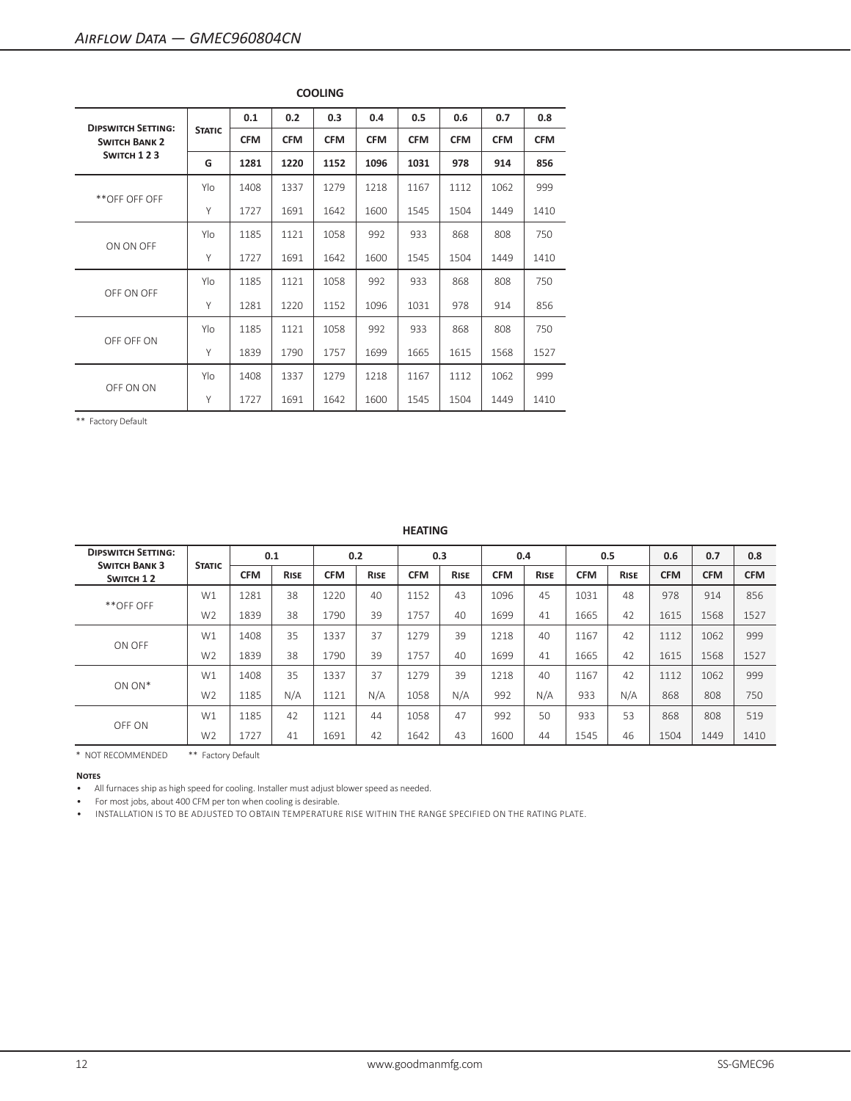|                                                   |               | 0.1        | 0.2        | 0.3        | 0.4        | 0.5        | 0.6        | 0.7        | 0.8        |
|---------------------------------------------------|---------------|------------|------------|------------|------------|------------|------------|------------|------------|
| <b>DIPSWITCH SETTING:</b><br><b>SWITCH BANK 2</b> | <b>STATIC</b> | <b>CFM</b> | <b>CFM</b> | <b>CFM</b> | <b>CFM</b> | <b>CFM</b> | <b>CFM</b> | <b>CFM</b> | <b>CFM</b> |
| SWITCH 123                                        | G             | 1281       | 1220       | 1152       | 1096       | 1031       | 978        | 914        | 856        |
|                                                   | Ylo           | 1408       | 1337       | 1279       | 1218       | 1167       | 1112       | 1062       | 999        |
| **OFF OFF OFF                                     | Y             | 1727       | 1691       | 1642       | 1600       | 1545       | 1504       | 1449       | 1410       |
| ON ON OFF                                         | Ylo           | 1185       | 1121       | 1058       | 992        | 933        | 868        | 808        | 750        |
|                                                   | Y             | 1727       | 1691       | 1642       | 1600       | 1545       | 1504       | 1449       | 1410       |
|                                                   | Ylo           | 1185       | 1121       | 1058       | 992        | 933        | 868        | 808        | 750        |
| OFF ON OFF                                        | Y             | 1281       | 1220       | 1152       | 1096       | 1031       | 978        | 914        | 856        |
|                                                   | Ylo           | 1185       | 1121       | 1058       | 992        | 933        | 868        | 808        | 750        |
| OFF OFF ON                                        | Y             | 1839       | 1790       | 1757       | 1699       | 1665       | 1615       | 1568       | 1527       |
| OFF ON ON                                         | Ylo           | 1408       | 1337       | 1279       | 1218       | 1167       | 1112       | 1062       | 999        |
|                                                   | Y             | 1727       | 1691       | 1642       | 1600       | 1545       | 1504       | 1449       | 1410       |

**COOLING**

**HEATING**

| <b>DIPSWITCH SETTING:</b><br><b>SWITCH BANK 3</b><br><b>STATIC</b> |                | 0.1        |             |            | 0.2         | 0.3        |             |            | 0.4         | 0.5        |             | 0.6        | 0.7        | 0.8        |
|--------------------------------------------------------------------|----------------|------------|-------------|------------|-------------|------------|-------------|------------|-------------|------------|-------------|------------|------------|------------|
| SWITCH 12                                                          |                | <b>CFM</b> | <b>RISE</b> | <b>CFM</b> | <b>RISE</b> | <b>CFM</b> | <b>RISE</b> | <b>CFM</b> | <b>RISE</b> | <b>CFM</b> | <b>RISE</b> | <b>CFM</b> | <b>CFM</b> | <b>CFM</b> |
| **OFF OFF                                                          | W1             | 1281       | 38          | 1220       | 40          | 1152       | 43          | 1096       | 45          | 1031       | 48          | 978        | 914        | 856        |
|                                                                    | W <sub>2</sub> | 1839       | 38          | 1790       | 39          | 1757       | 40          | 1699       | 41          | 1665       | 42          | 1615       | 1568       | 1527       |
| ON OFF                                                             | W1             | 1408       | 35          | 1337       | 37          | 1279       | 39          | 1218       | 40          | 1167       | 42          | 1112       | 1062       | 999        |
|                                                                    | W <sub>2</sub> | 1839       | 38          | 1790       | 39          | 1757       | 40          | 1699       | 41          | 1665       | 42          | 1615       | 1568       | 1527       |
|                                                                    | W1             | 1408       | 35          | 1337       | 37          | 1279       | 39          | 1218       | 40          | 1167       | 42          | 1112       | 1062       | 999        |
| $ON ON*$                                                           | W <sub>2</sub> | 1185       | N/A         | 1121       | N/A         | 1058       | N/A         | 992        | N/A         | 933        | N/A         | 868        | 808        | 750        |
| OFF ON                                                             | W1             | 1185       | 42          | 1121       | 44          | 1058       | 47          | 992        | 50          | 933        | 53          | 868        | 808        | 519        |
|                                                                    | W <sub>2</sub> | 1727       | 41          | 1691       | 42          | 1642       | 43          | 1600       | 44          | 1545       | 46          | 1504       | 1449       | 1410       |

\* NOT RECOMMENDED \*\* Factory Default

**Notes**

• All furnaces ship as high speed for cooling. Installer must adjust blower speed as needed.

• For most jobs, about 400 CFM per ton when cooling is desirable.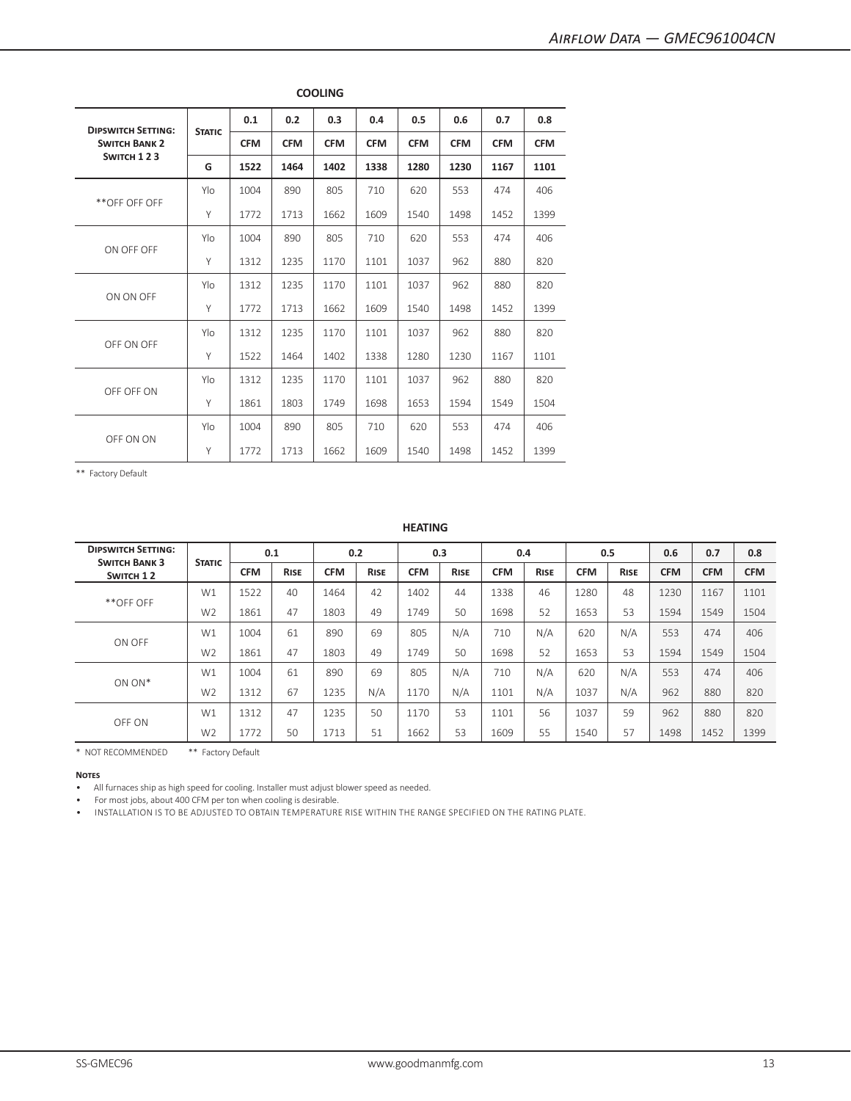| <b>DIPSWITCH SETTING:</b> |               | 0.1        | 0.2        | 0.3        | 0.4        | 0.5        | 0.6        | 0.7        | 0.8        |
|---------------------------|---------------|------------|------------|------------|------------|------------|------------|------------|------------|
| <b>SWITCH BANK 2</b>      | <b>STATIC</b> | <b>CFM</b> | <b>CFM</b> | <b>CFM</b> | <b>CFM</b> | <b>CFM</b> | <b>CFM</b> | <b>CFM</b> | <b>CFM</b> |
| SWITCH 123                | G             | 1522       | 1464       | 1402       | 1338       | 1280       | 1230       | 1167       | 1101       |
|                           | Ylo           | 1004       | 890        | 805        | 710        | 620        | 553        | 474        | 406        |
| **OFF OFF OFF             | Y             | 1772       | 1713       | 1662       | 1609       | 1540       | 1498       | 1452       | 1399       |
| ON OFF OFF                | Ylo           | 1004       | 890        | 805        | 710        | 620        | 553        | 474        | 406        |
|                           | Y             | 1312       | 1235       | 1170       | 1101       | 1037       | 962        | 880        | 820        |
|                           | Ylo           | 1312       | 1235       | 1170       | 1101       | 1037       | 962        | 880        | 820        |
| ON ON OFF                 | Y             | 1772       | 1713       | 1662       | 1609       | 1540       | 1498       | 1452       | 1399       |
|                           | Ylo           | 1312       | 1235       | 1170       | 1101       | 1037       | 962        | 880        | 820        |
| OFF ON OFF                | Y             | 1522       | 1464       | 1402       | 1338       | 1280       | 1230       | 1167       | 1101       |
|                           | Ylo           | 1312       | 1235       | 1170       | 1101       | 1037       | 962        | 880        | 820        |
| OFF OFF ON                | Y             | 1861       | 1803       | 1749       | 1698       | 1653       | 1594       | 1549       | 1504       |
| OFF ON ON                 | Ylo           | 1004       | 890        | 805        | 710        | 620        | 553        | 474        | 406        |
|                           | Y             | 1772       | 1713       | 1662       | 1609       | 1540       | 1498       | 1452       | 1399       |

**COOLING**

# **HEATING**

| <b>DIPSWITCH SETTING:</b> | <b>SWITCH BANK 3</b><br><b>STATIC</b><br>SWITCH 12 | 0.1        |             | 0.2        |             | 0.3        |             | 0.4        |             | 0.5        |             | 0.6        | 0.7        | 0.8        |
|---------------------------|----------------------------------------------------|------------|-------------|------------|-------------|------------|-------------|------------|-------------|------------|-------------|------------|------------|------------|
|                           |                                                    | <b>CFM</b> | <b>RISE</b> | <b>CFM</b> | <b>RISE</b> | <b>CFM</b> | <b>RISE</b> | <b>CFM</b> | <b>RISE</b> | <b>CFM</b> | <b>RISE</b> | <b>CFM</b> | <b>CFM</b> | <b>CFM</b> |
|                           | W1                                                 | 1522       | 40          | 1464       | 42          | 1402       | 44          | 1338       | 46          | 1280       | 48          | 1230       | 1167       | 1101       |
| **OFF OFF                 | W <sub>2</sub>                                     | 1861       | 47          | 1803       | 49          | 1749       | 50          | 1698       | 52          | 1653       | 53          | 1594       | 1549       | 1504       |
|                           | W1                                                 | 1004       | 61          | 890        | 69          | 805        | N/A         | 710        | N/A         | 620        | N/A         | 553        | 474        | 406        |
| ON OFF                    | W <sub>2</sub>                                     | 1861       | 47          | 1803       | 49          | 1749       | 50          | 1698       | 52          | 1653       | 53          | 1594       | 1549       | 1504       |
|                           | W1                                                 | 1004       | 61          | 890        | 69          | 805        | N/A         | 710        | N/A         | 620        | N/A         | 553        | 474        | 406        |
| $ON ON*$                  | W <sub>2</sub>                                     | 1312       | 67          | 1235       | N/A         | 1170       | N/A         | 1101       | N/A         | 1037       | N/A         | 962        | 880        | 820        |
| OFF ON                    | W1                                                 | 1312       | 47          | 1235       | 50          | 1170       | 53          | 1101       | 56          | 1037       | 59          | 962        | 880        | 820        |
|                           | W <sub>2</sub>                                     | 1772       | 50          | 1713       | 51          | 1662       | 53          | 1609       | 55          | 1540       | 57          | 1498       | 1452       | 1399       |

\* NOT RECOMMENDED \*\* Factory Default

**Notes**

• All furnaces ship as high speed for cooling. Installer must adjust blower speed as needed.

• For most jobs, about 400 CFM per ton when cooling is desirable.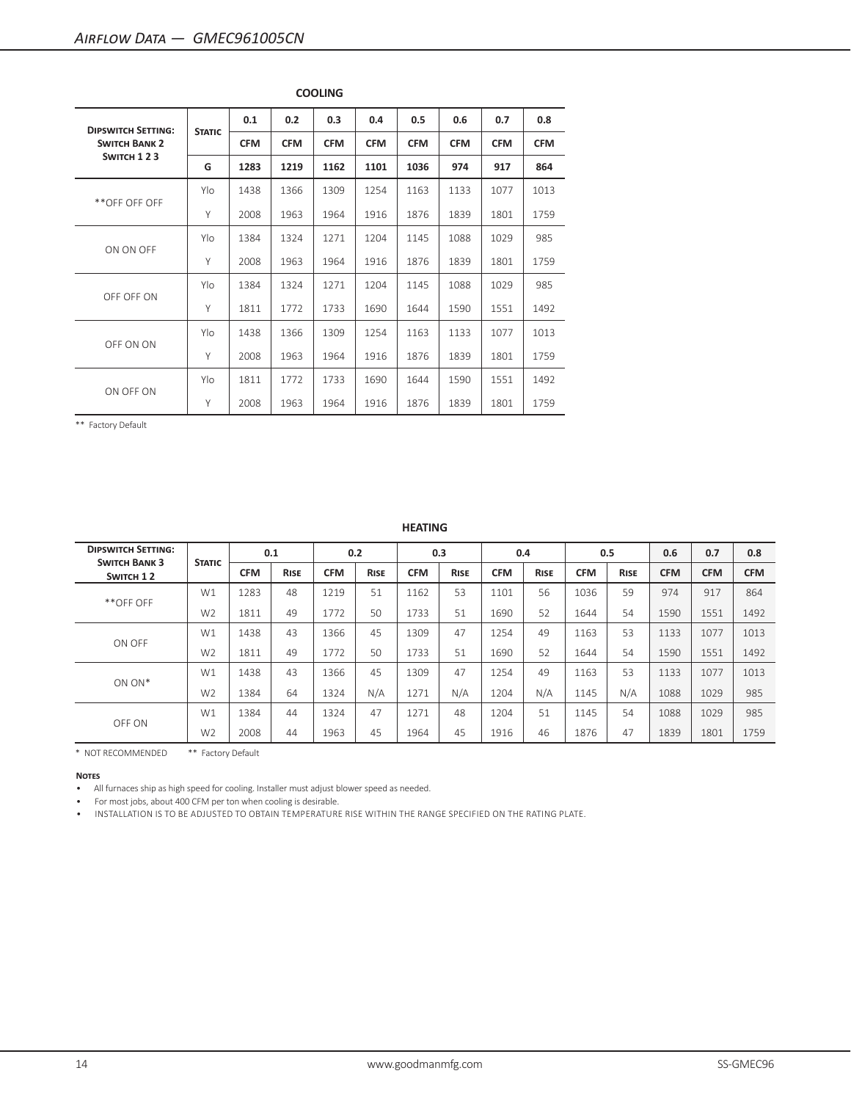| <b>DIPSWITCH SETTING:</b> |               | 0.1        | 0.2        | 0.3        | 0.4        | 0.5        | 0.6        | 0.7        | 0.8        |
|---------------------------|---------------|------------|------------|------------|------------|------------|------------|------------|------------|
| <b>SWITCH BANK 2</b>      | <b>STATIC</b> | <b>CFM</b> | <b>CFM</b> | <b>CFM</b> | <b>CFM</b> | <b>CFM</b> | <b>CFM</b> | <b>CFM</b> | <b>CFM</b> |
| SWITCH 123                | G             | 1283       | 1219       | 1162       | 1101       | 1036       | 974        | 917        | 864        |
|                           | Ylo           | 1438       | 1366       | 1309       | 1254       | 1163       | 1133       | 1077       | 1013       |
| **OFF OFF OFF             | Y             | 2008       | 1963       | 1964       | 1916       | 1876       | 1839       | 1801       | 1759       |
|                           | Ylo           | 1384       | 1324       | 1271       | 1204       | 1145       | 1088       | 1029       | 985        |
| ON ON OFF                 | Y             | 2008       | 1963       | 1964       | 1916       | 1876       | 1839       | 1801       | 1759       |
|                           | Ylo           | 1384       | 1324       | 1271       | 1204       | 1145       | 1088       | 1029       | 985        |
| OFF OFF ON                | Y             | 1811       | 1772       | 1733       | 1690       | 1644       | 1590       | 1551       | 1492       |
|                           | Ylo           | 1438       | 1366       | 1309       | 1254       | 1163       | 1133       | 1077       | 1013       |
| OFF ON ON                 | Y             | 2008       | 1963       | 1964       | 1916       | 1876       | 1839       | 1801       | 1759       |
|                           | Ylo           | 1811       | 1772       | 1733       | 1690       | 1644       | 1590       | 1551       | 1492       |
| ON OFF ON                 | Y             | 2008       | 1963       | 1964       | 1916       | 1876       | 1839       | 1801       | 1759       |

**COOLING**

|                                                   |                |            |             |            |             | <b>HEATING</b> |             |            |             |            |             |            |            |            |
|---------------------------------------------------|----------------|------------|-------------|------------|-------------|----------------|-------------|------------|-------------|------------|-------------|------------|------------|------------|
| <b>DIPSWITCH SETTING:</b><br><b>SWITCH BANK 3</b> | <b>STATIC</b>  |            | 0.1         |            | 0.2         |                | 0.3         |            | 0.4         |            | 0.5         | 0.6        | 0.7        | 0.8        |
| SWITCH 12                                         |                | <b>CFM</b> | <b>RISE</b> | <b>CFM</b> | <b>RISE</b> | <b>CFM</b>     | <b>RISE</b> | <b>CFM</b> | <b>RISE</b> | <b>CFM</b> | <b>RISE</b> | <b>CFM</b> | <b>CFM</b> | <b>CFM</b> |
| **OFF OFF                                         | W1             | 1283       | 48          | 1219       | 51          | 1162           | 53          | 1101       | 56          | 1036       | 59          | 974        | 917        | 864        |
|                                                   | W <sub>2</sub> | 1811       | 49          | 1772       | 50          | 1733           | 51          | 1690       | 52          | 1644       | 54          | 1590       | 1551       | 1492       |
|                                                   | W1             | 1438       | 43          | 1366       | 45          | 1309           | 47          | 1254       | 49          | 1163       | 53          | 1133       | 1077       | 1013       |
| ON OFF                                            | W <sub>2</sub> | 1811       | 49          | 1772       | 50          | 1733           | 51          | 1690       | 52          | 1644       | 54          | 1590       | 1551       | 1492       |
| ON ON*                                            | W1             | 1438       | 43          | 1366       | 45          | 1309           | 47          | 1254       | 49          | 1163       | 53          | 1133       | 1077       | 1013       |
|                                                   | W <sub>2</sub> | 1384       | 64          | 1324       | N/A         | 1271           | N/A         | 1204       | N/A         | 1145       | N/A         | 1088       | 1029       | 985        |
|                                                   | W1             | 1384       | 44          | 1324       | 47          | 1271           | 48          | 1204       | 51          | 1145       | 54          | 1088       | 1029       | 985        |
| OFF ON                                            | W <sub>2</sub> | 2008       | 44          | 1963       | 45          | 1964           | 45          | 1916       | 46          | 1876       | 47          | 1839       | 1801       | 1759       |

\* NOT RECOMMENDED \*\* Factory Default

#### **Notes**

• All furnaces ship as high speed for cooling. Installer must adjust blower speed as needed.

• For most jobs, about 400 CFM per ton when cooling is desirable.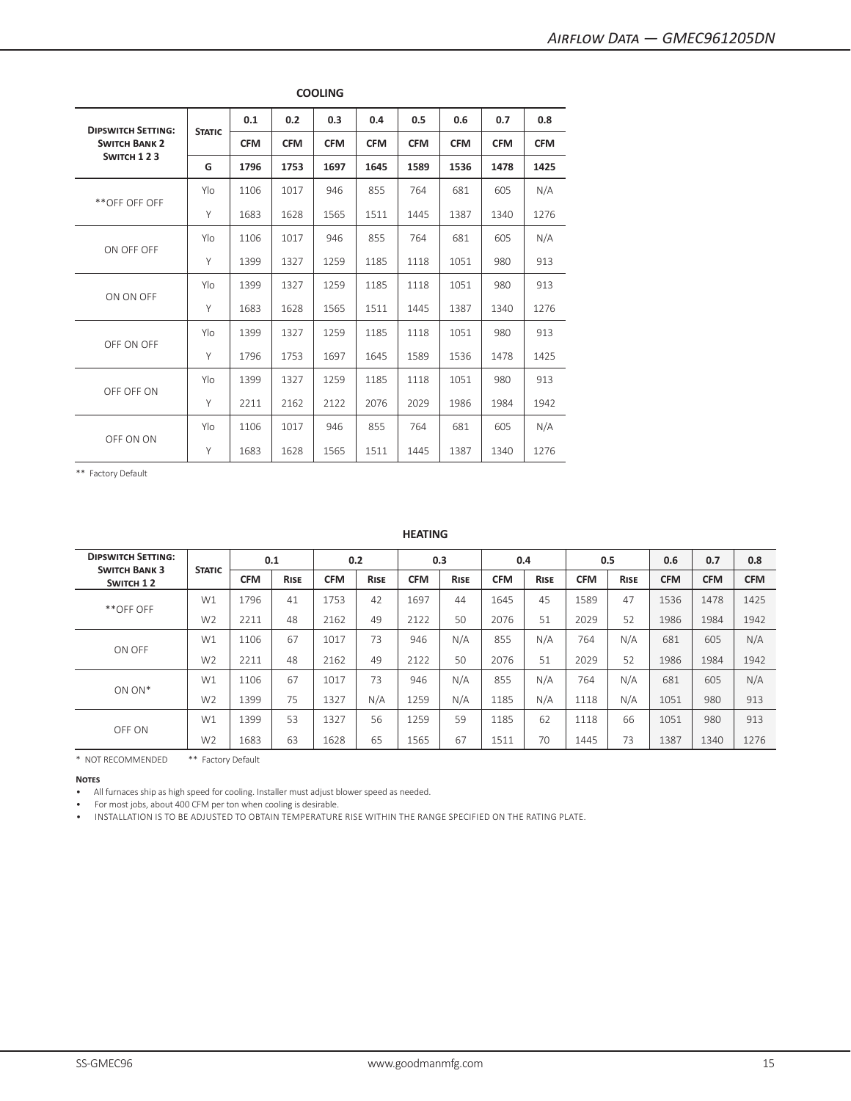| <b>DIPSWITCH SETTING:</b> |               | 0.1        | 0.2        | 0.3        | 0.4                                                                                                                                                                                                                    | 0.5        | 0.6        | 0.7        | 0.8        |
|---------------------------|---------------|------------|------------|------------|------------------------------------------------------------------------------------------------------------------------------------------------------------------------------------------------------------------------|------------|------------|------------|------------|
| <b>SWITCH BANK 2</b>      | <b>STATIC</b> | <b>CFM</b> | <b>CFM</b> | <b>CFM</b> | <b>CFM</b>                                                                                                                                                                                                             | <b>CFM</b> | <b>CFM</b> | <b>CFM</b> | <b>CFM</b> |
| SWITCH 123                | G             | 1796       | 1753       | 1697       | 1645                                                                                                                                                                                                                   | 1589       | 1536       | 1478       | 1425       |
|                           | Ylo           | 1106       | 1017       | 946        | 855                                                                                                                                                                                                                    | 764        | 681        | 605        | N/A        |
| **OFF OFF OFF             | Y             | 1683       | 1628       | 1565       | 1511                                                                                                                                                                                                                   | 1445       | 1387       | 1340       | 1276       |
| ON OFF OFF                | Ylo           | 1106       | 1017       | 946        | 855                                                                                                                                                                                                                    | 764        | 681        | 605        | N/A        |
|                           | Y             | 1399       | 1327       | 1259       | 1185                                                                                                                                                                                                                   | 1118       | 1051       | 980        | 913        |
| ON ON OFF                 | Ylo           | 1399       | 1327       | 1259       | 1185                                                                                                                                                                                                                   | 1118       | 1051       | 980        | 913        |
|                           | Y             | 1683       | 1628       | 1565       | 1511<br>1387<br>1445<br>1340<br>1185<br>1118<br>1051<br>980<br>1589<br>1536<br>1645<br>1478<br>1185<br>1051<br>980<br>1118<br>2076<br>2029<br>1986<br>1984<br>855<br>764<br>681<br>605<br>1511<br>1445<br>1387<br>1340 | 1276       |            |            |            |
|                           | Ylo           | 1399       | 1327       | 1259       |                                                                                                                                                                                                                        |            |            |            | 913        |
| OFF ON OFF                | Y             | 1796       | 1753       | 1697       |                                                                                                                                                                                                                        |            |            |            | 1425       |
| OFF OFF ON                | Ylo           | 1399       | 1327       | 1259       |                                                                                                                                                                                                                        |            |            |            | 913        |
|                           | Y             | 2211       | 2162       | 2122       |                                                                                                                                                                                                                        |            |            |            | 1942       |
| OFF ON ON                 | Ylo           | 1106       | 1017       | 946        |                                                                                                                                                                                                                        |            |            |            | N/A        |
|                           | Y             | 1683       | 1628       | 1565       |                                                                                                                                                                                                                        |            |            |            | 1276       |

**COOLING**

## **HEATING**

| <b>DIPSWITCH SETTING:</b><br><b>SWITCH BANK 3</b><br>SWITCH 12 | <b>STATIC</b>  |            | 0.1         |            | 0.2         |            | 0.3         |            | 0.4         |            | 0.5         | 0.6        | 0.7        | 0.8        |
|----------------------------------------------------------------|----------------|------------|-------------|------------|-------------|------------|-------------|------------|-------------|------------|-------------|------------|------------|------------|
|                                                                |                | <b>CFM</b> | <b>RISE</b> | <b>CFM</b> | <b>RISE</b> | <b>CFM</b> | <b>RISE</b> | <b>CFM</b> | <b>RISE</b> | <b>CFM</b> | <b>RISE</b> | <b>CFM</b> | <b>CFM</b> | <b>CFM</b> |
|                                                                | W1             | 1796       | 41          | 1753       | 42          | 1697       | 44          | 1645       | 45          | 1589       | 47          | 1536       | 1478       | 1425       |
| **OFF OFF                                                      | W <sub>2</sub> | 2211       | 48          | 2162       | 49          | 2122       | 50          | 2076       | 51          | 2029       | 52          | 1986       | 1984       | 1942       |
|                                                                | W1             | 1106       | 67          | 1017       | 73          | 946        | N/A         | 855        | N/A         | 764        | N/A         | 681        | 605        | N/A        |
| ON OFF                                                         | W <sub>2</sub> | 2211       | 48          | 2162       | 49          | 2122       | 50          | 2076       | 51          | 2029       | 52          | 1986       | 1984       | 1942       |
|                                                                | W1             | 1106       | 67          | 1017       | 73          | 946        | N/A         | 855        | N/A         | 764        | N/A         | 681        | 605        | N/A        |
| ON ON*                                                         | W <sub>2</sub> | 1399       | 75          | 1327       | N/A         | 1259       | N/A         | 1185       | N/A         | 1118       | N/A         | 1051       | 980        | 913        |
| OFF ON                                                         | W1             | 1399       | 53          | 1327       | 56          | 1259       | 59          | 1185       | 62          | 1118       | 66          | 1051       | 980        | 913        |
|                                                                | W <sub>2</sub> | 1683       | 63          | 1628       | 65          | 1565       | 67          | 1511       | 70          | 1445       | 73          | 1387       | 1340       | 1276       |

\* NOT RECOMMENDED \*\* Factory Default

**Notes**

• All furnaces ship as high speed for cooling. Installer must adjust blower speed as needed.

• For most jobs, about 400 CFM per ton when cooling is desirable.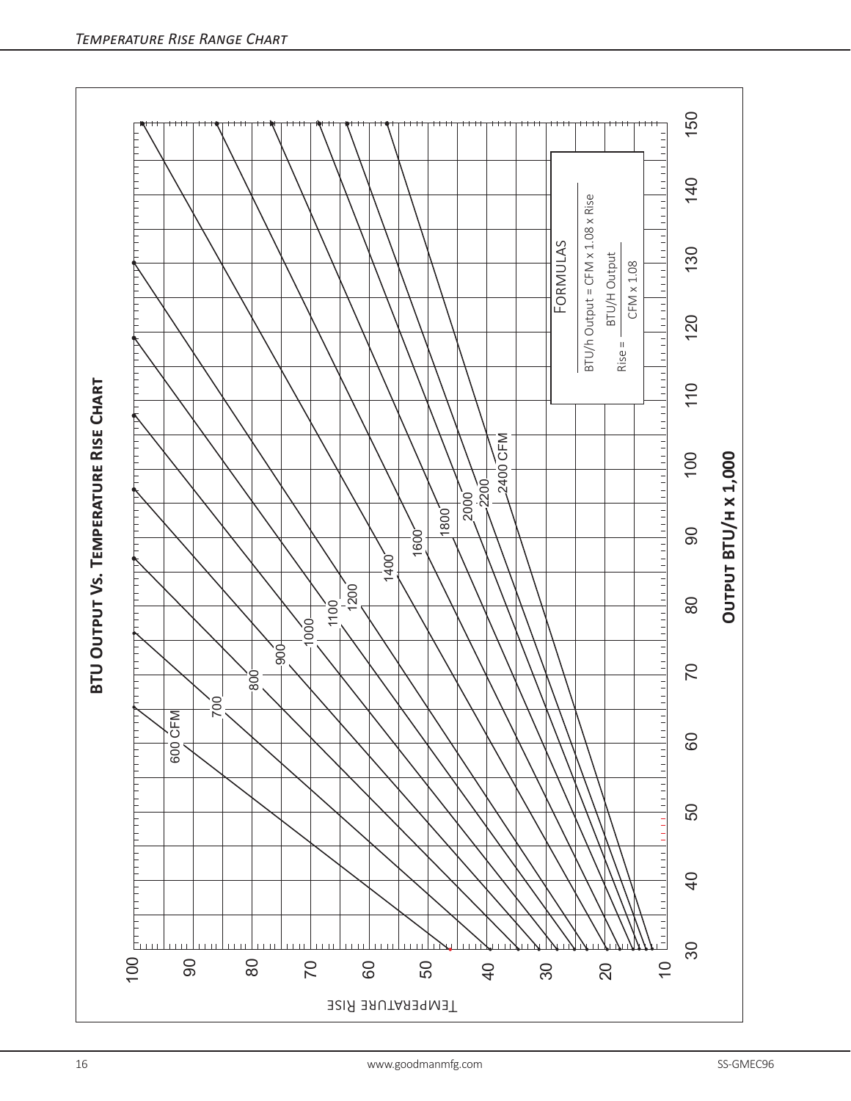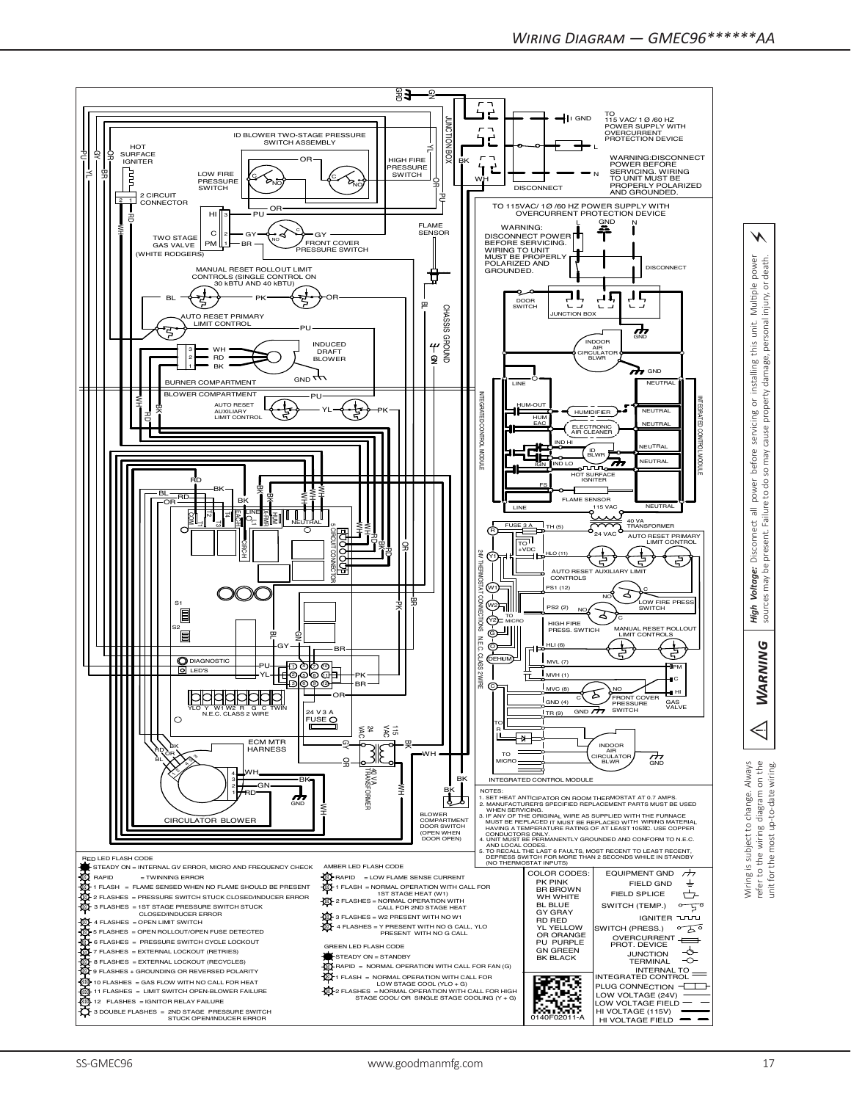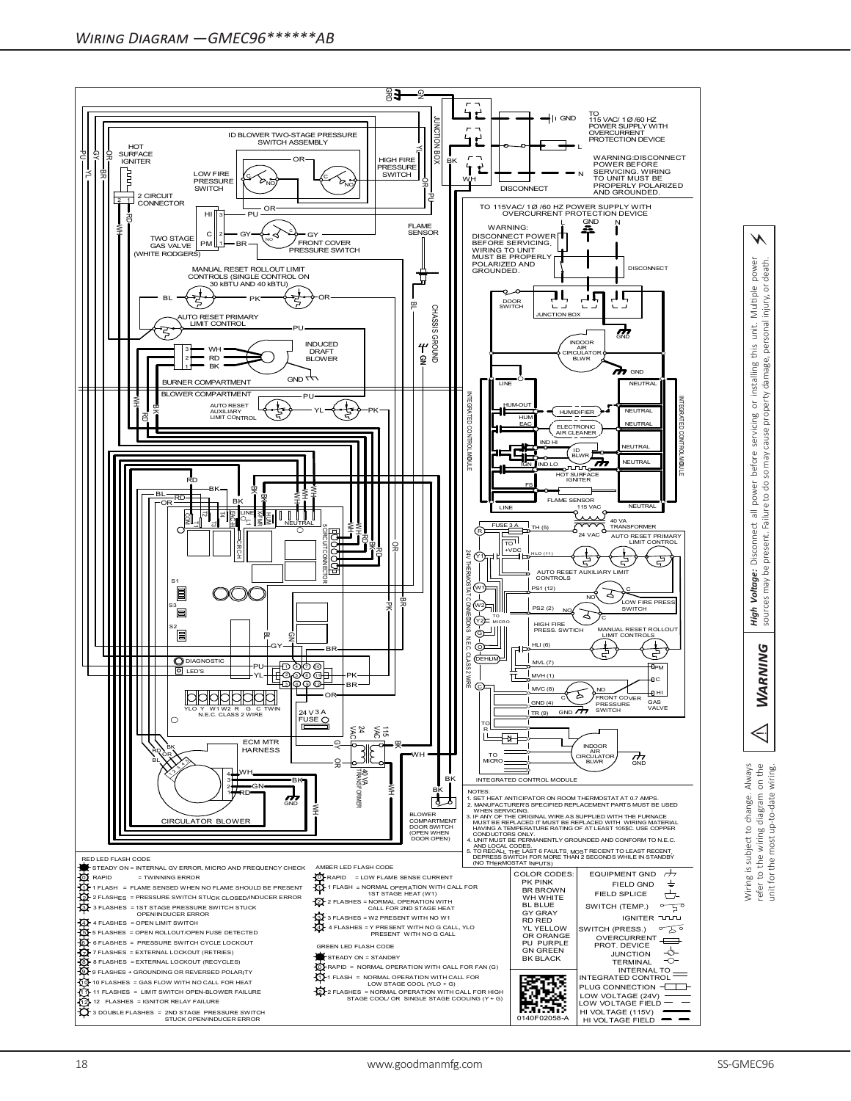

 *Warning High Voltage:* Disconnect all power before servicing or installing this unit. Multiple power sources may be present. Failure to do so may cause property damage, personal injury, or death. property damage, personal injury, or unit. this installing  $\overline{\mathsf{o}}$ servicing cause before yew os · Disconnect all power<br>e present. Failure to do s Voltage: may be sources High WARNING

⚡

power<br>- death.

Multiple

 $\triangleleft$ Wiring is subject to change. Always<br>refer to the wiring diagram on the<br>unit for the most up-to-date wiring. Wiring is subject to change. Always refer to the wiring diagram on the unit for the most up-to-date wiring.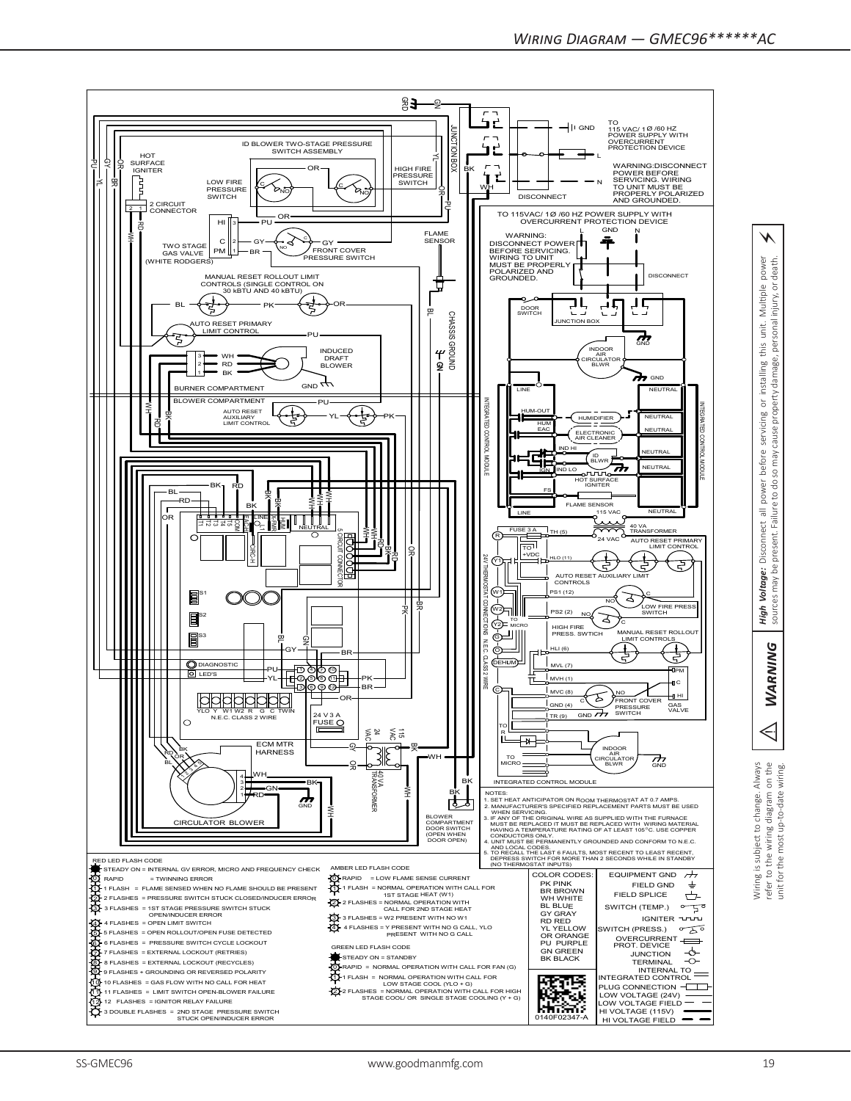

⚡